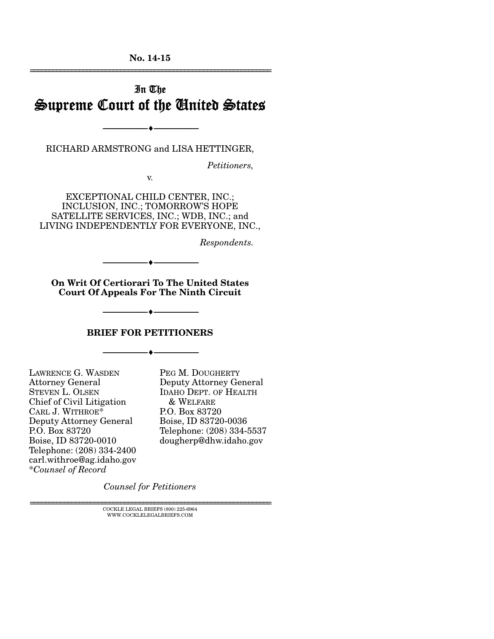**No. 14-15**  ================================================================

# In The Supreme Court of the United States

RICHARD ARMSTRONG and LISA HETTINGER,

--------------------------------- ---------------------------------

*Petitioners,* 

v.

EXCEPTIONAL CHILD CENTER, INC.; INCLUSION, INC.; TOMORROW'S HOPE SATELLITE SERVICES, INC.; WDB, INC.; and LIVING INDEPENDENTLY FOR EVERYONE, INC.,

*Respondents.* 

**On Writ Of Certiorari To The United States Court Of Appeals For The Ninth Circuit** 

--------------------------------- ---------------------------------

**BRIEF FOR PETITIONERS** 

--------------------------------- ---------------------------------

--------------------------------- ---------------------------------

LAWRENCE G. WASDEN Attorney General STEVEN L. OLSEN Chief of Civil Litigation CARL J. WITHROE\* Deputy Attorney General P.O. Box 83720 Boise, ID 83720-0010 Telephone: (208) 334-2400 carl.withroe@ag.idaho.gov \**Counsel of Record*

PEG M. DOUGHERTY Deputy Attorney General IDAHO DEPT. OF HEALTH & WELFARE P.O. Box 83720 Boise, ID 83720-0036 Telephone: (208) 334-5537 dougherp@dhw.idaho.gov

*Counsel for Petitioners*

 $\textsc{COCKLE}$  LEGAL BRIEFS (800) 225-6964 WWW.COCKLELEGALBRIEFS.COM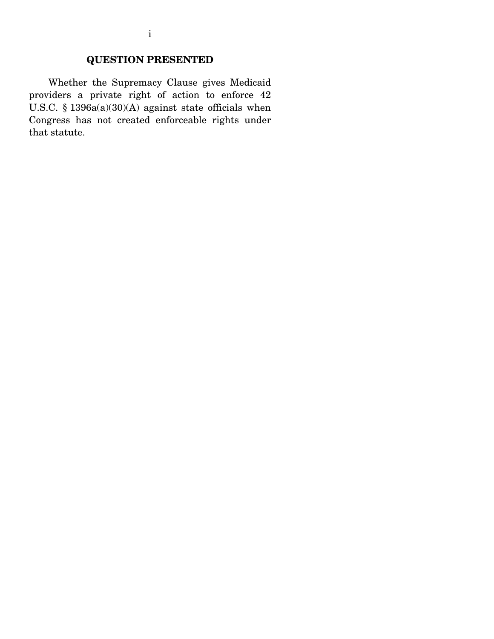## **QUESTION PRESENTED**

 Whether the Supremacy Clause gives Medicaid providers a private right of action to enforce 42 U.S.C. § 1396a(a)(30)(A) against state officials when Congress has not created enforceable rights under that statute.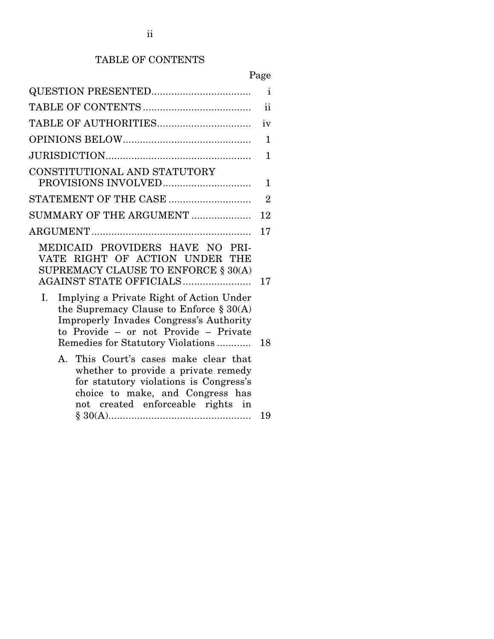# TABLE OF CONTENTS

# Page

|                                                                                                                                                                                                                       | $\mathbf{i}$   |
|-----------------------------------------------------------------------------------------------------------------------------------------------------------------------------------------------------------------------|----------------|
|                                                                                                                                                                                                                       | ii             |
|                                                                                                                                                                                                                       | iv             |
|                                                                                                                                                                                                                       | $\mathbf{1}$   |
|                                                                                                                                                                                                                       | 1              |
| CONSTITUTIONAL AND STATUTORY                                                                                                                                                                                          | $\mathbf 1$    |
| STATEMENT OF THE CASE                                                                                                                                                                                                 | $\overline{2}$ |
| SUMMARY OF THE ARGUMENT                                                                                                                                                                                               | 12             |
|                                                                                                                                                                                                                       | 17             |
| MEDICAID PROVIDERS HAVE NO PRI-<br>VATE RIGHT OF ACTION UNDER THE<br>SUPREMACY CLAUSE TO ENFORCE § 30(A)<br>AGAINST STATE OFFICIALS                                                                                   | 17             |
| Implying a Private Right of Action Under<br>Ι.<br>the Supremacy Clause to Enforce $\S 30(A)$<br>Improperly Invades Congress's Authority<br>to Provide - or not Provide - Private<br>Remedies for Statutory Violations | 18             |
| This Court's cases make clear that<br>$A_{\cdot}$<br>whether to provide a private remedy<br>for statutory violations is Congress's<br>choice to make, and Congress has<br>not created enforceable rights in           | 19             |
|                                                                                                                                                                                                                       |                |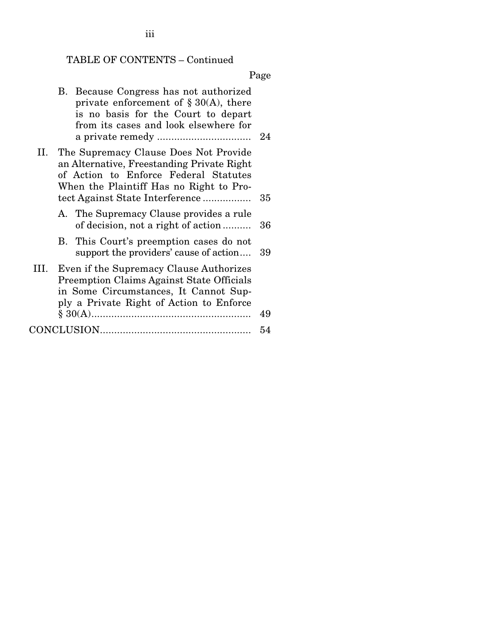# TABLE OF CONTENTS – Continued

Page

|      | B. Because Congress has not authorized<br>private enforcement of $\S 30(A)$ , there<br>is no basis for the Court to depart<br>from its cases and look elsewhere for                                        |    |
|------|------------------------------------------------------------------------------------------------------------------------------------------------------------------------------------------------------------|----|
| II.  | The Supremacy Clause Does Not Provide<br>an Alternative, Freestanding Private Right<br>of Action to Enforce Federal Statutes<br>When the Plaintiff Has no Right to Pro-<br>tect Against State Interference | 35 |
|      | A. The Supremacy Clause provides a rule<br>of decision, not a right of action                                                                                                                              | 36 |
|      | B. This Court's preemption cases do not<br>support the providers' cause of action                                                                                                                          | 39 |
| III. | Even if the Supremacy Clause Authorizes<br><b>Preemption Claims Against State Officials</b><br>in Some Circumstances, It Cannot Sup-<br>ply a Private Right of Action to Enforce                           | 49 |
|      |                                                                                                                                                                                                            | 54 |
|      |                                                                                                                                                                                                            |    |

iii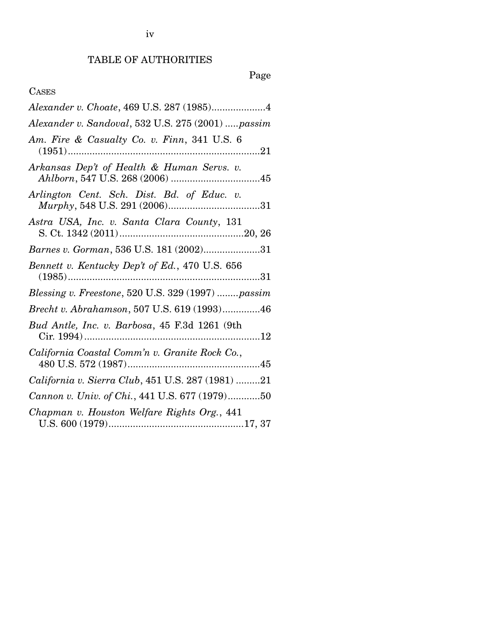iv

## TABLE OF AUTHORITIES

# Page

### CASES

| Alexander v. Sandoval, 532 U.S. 275 (2001)  passim                                                                                                                         |
|----------------------------------------------------------------------------------------------------------------------------------------------------------------------------|
| Am. Fire & Casualty Co. v. Finn, 341 U.S. 6                                                                                                                                |
| Arkansas Dep't of Health & Human Servs. v.<br>$\it Ahlborn, 547 \; U.S. \; 268 \; (2006) \; \dots \; \dots \; \dots \; \dots \; \dots \; \dots \; \dots \; \dots \; \; 45$ |
| Arlington Cent. Sch. Dist. Bd. of Educ. v.                                                                                                                                 |
| Astra USA, Inc. v. Santa Clara County, 131                                                                                                                                 |
| Barnes v. Gorman, 536 U.S. 181 (2002)31                                                                                                                                    |
| Bennett v. Kentucky Dep't of Ed., 470 U.S. 656                                                                                                                             |
| Blessing v. Freestone, 520 U.S. 329 (1997)  passim                                                                                                                         |
| Brecht v. Abrahamson, 507 U.S. 619 (1993)46                                                                                                                                |
| Bud Antle, Inc. v. Barbosa, 45 F.3d 1261 (9th                                                                                                                              |
| California Coastal Comm'n v. Granite Rock Co.,                                                                                                                             |
| California v. Sierra Club, 451 U.S. 287 (1981) 21                                                                                                                          |
| Cannon v. Univ. of Chi., 441 U.S. 677 (1979)50                                                                                                                             |
| Chapman v. Houston Welfare Rights Org., 441                                                                                                                                |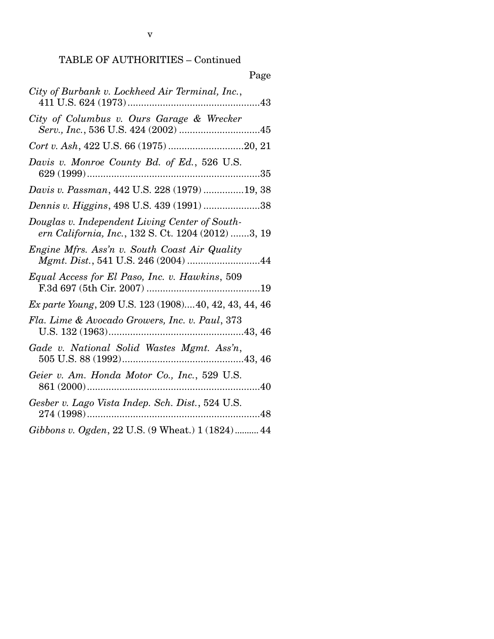| Page                                                                                                 |
|------------------------------------------------------------------------------------------------------|
| City of Burbank v. Lockheed Air Terminal, Inc.,                                                      |
| City of Columbus v. Ours Garage & Wrecker                                                            |
| Cort v. Ash, 422 U.S. 66 (1975) 20, 21                                                               |
| Davis v. Monroe County Bd. of Ed., 526 U.S.                                                          |
| Davis v. Passman, 442 U.S. 228 (1979) 19, 38                                                         |
| Dennis v. Higgins, 498 U.S. 439 (1991) 38                                                            |
| Douglas v. Independent Living Center of South-<br>ern California, Inc., 132 S. Ct. 1204 (2012) 3, 19 |
| Engine Mfrs. Ass'n v. South Coast Air Quality<br>Mgmt. Dist., 541 U.S. 246 (2004) 44                 |
| Equal Access for El Paso, Inc. v. Hawkins, 509                                                       |
| Ex parte Young, 209 U.S. 123 (1908)40, 42, 43, 44, 46                                                |
| Fla. Lime & Avocado Growers, Inc. v. Paul, 373                                                       |
|                                                                                                      |
| Geier v. Am. Honda Motor Co., Inc., 529 U.S.                                                         |
| Gesber v. Lago Vista Indep. Sch. Dist., 524 U.S.                                                     |
| Gibbons v. Ogden, 22 U.S. (9 Wheat.) 1 (1824) 44                                                     |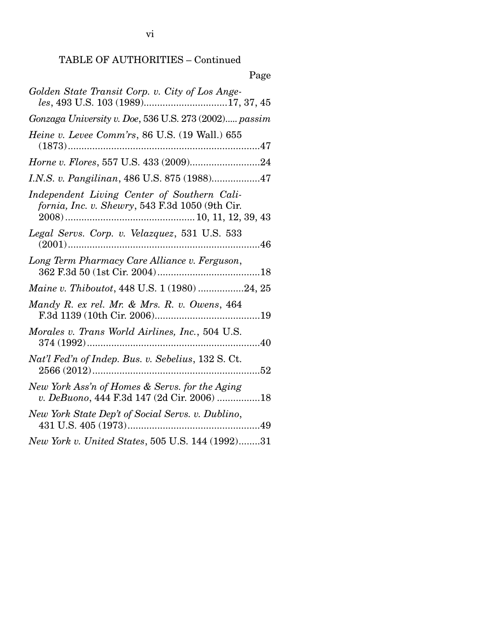| Page                                                                                            |
|-------------------------------------------------------------------------------------------------|
| Golden State Transit Corp. v. City of Los Ange-<br>les, 493 U.S. 103 (1989)17, 37, 45           |
| Gonzaga University v. Doe, 536 U.S. 273 (2002) passim                                           |
| Heine v. Levee Comm'rs, 86 U.S. (19 Wall.) 655<br>$(1873)$                                      |
|                                                                                                 |
| I.N.S. v. Pangilinan, 486 U.S. 875 (1988)47                                                     |
| Independent Living Center of Southern Cali-<br>fornia, Inc. v. Shewry, 543 F.3d 1050 (9th Cir.  |
| Legal Servs. Corp. v. Velazquez, 531 U.S. 533                                                   |
| Long Term Pharmacy Care Alliance v. Ferguson,                                                   |
| Maine v. Thiboutot, 448 U.S. 1 (1980) 24, 25                                                    |
| Mandy R. ex rel. Mr. & Mrs. R. v. Owens, 464<br>F.3d 1139 (10th Cir. 2006)<br>19                |
| Morales v. Trans World Airlines, Inc., 504 U.S.<br>$\dots 40$                                   |
| Nat'l Fed'n of Indep. Bus. v. Sebelius, 132 S. Ct.<br>52                                        |
| New York Ass'n of Homes & Servs. for the Aging<br>v. DeBuono, 444 F.3d 147 (2d Cir. 2006)<br>18 |
| New York State Dep't of Social Servs. v. Dublino,<br>431 U.S. 405 (1973)<br>49                  |
| New York v. United States, 505 U.S. 144 (1992)31                                                |

# $\overline{D}$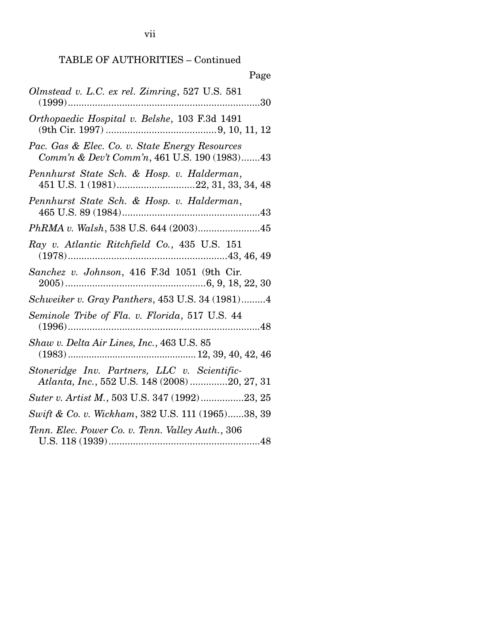| Page                                                                                           |
|------------------------------------------------------------------------------------------------|
| Olmstead v. L.C. ex rel. Zimring, 527 U.S. 581                                                 |
| Orthopaedic Hospital v. Belshe, 103 F.3d 1491                                                  |
| Pac. Gas & Elec. Co. v. State Energy Resources<br>Comm'n & Dev't Comm'n, 461 U.S. 190 (1983)43 |
| Pennhurst State Sch. & Hosp. v. Halderman,                                                     |
| Pennhurst State Sch. & Hosp. v. Halderman,                                                     |
| PhRMA v. Walsh, 538 U.S. 644 (2003)45                                                          |
| Ray v. Atlantic Ritchfield Co., 435 U.S. 151                                                   |
| Sanchez v. Johnson, 416 F.3d 1051 (9th Cir.                                                    |
| Schweiker v. Gray Panthers, 453 U.S. 34 (1981)4                                                |
| Seminole Tribe of Fla. v. Florida, 517 U.S. 44                                                 |
| Shaw v. Delta Air Lines, Inc., 463 U.S. 85                                                     |
| Stoneridge Inv. Partners, LLC v. Scientific-<br>Atlanta, Inc., 552 U.S. 148 (2008) 20, 27, 31  |
| Suter v. Artist M., 503 U.S. 347 (1992)23, 25                                                  |
| Swift & Co. v. Wickham, 382 U.S. 111 (1965)38, 39                                              |
| Tenn. Elec. Power Co. v. Tenn. Valley Auth., 306                                               |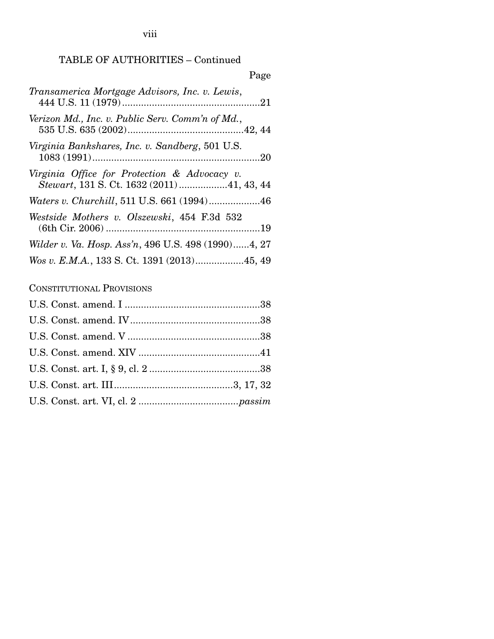viii

### TABLE OF AUTHORITIES – Continued

| Page                                                                                       |
|--------------------------------------------------------------------------------------------|
| Transamerica Mortgage Advisors, Inc. v. Lewis,                                             |
| Verizon Md., Inc. v. Public Serv. Comm'n of Md.,                                           |
| Virginia Bankshares, Inc. v. Sandberg, 501 U.S.                                            |
| Virginia Office for Protection & Advocacy v.<br>Stewart, 131 S. Ct. 1632 (2011) 41, 43, 44 |
|                                                                                            |
| Westside Mothers v. Olszewski, 454 F.3d 532                                                |
| Wilder v. Va. Hosp. Ass'n, 496 U.S. 498 (1990)4, 27                                        |
|                                                                                            |

CONSTITUTIONAL PROVISIONS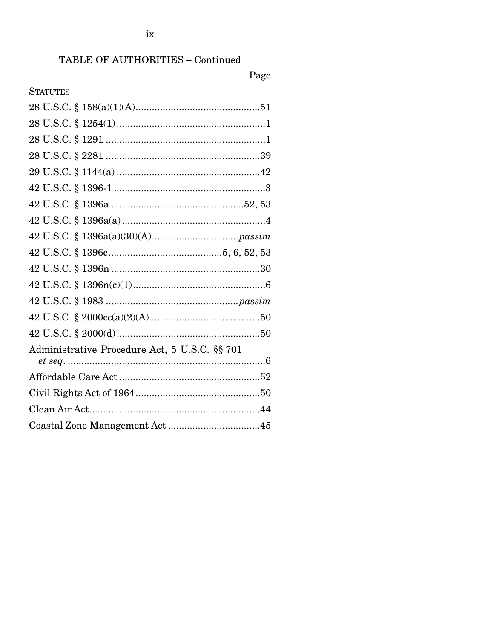## Page

| <b>STATUTES</b>                               |
|-----------------------------------------------|
|                                               |
|                                               |
|                                               |
|                                               |
|                                               |
|                                               |
|                                               |
|                                               |
|                                               |
|                                               |
|                                               |
|                                               |
|                                               |
|                                               |
|                                               |
| Administrative Procedure Act, 5 U.S.C. §§ 701 |
|                                               |
|                                               |
|                                               |
|                                               |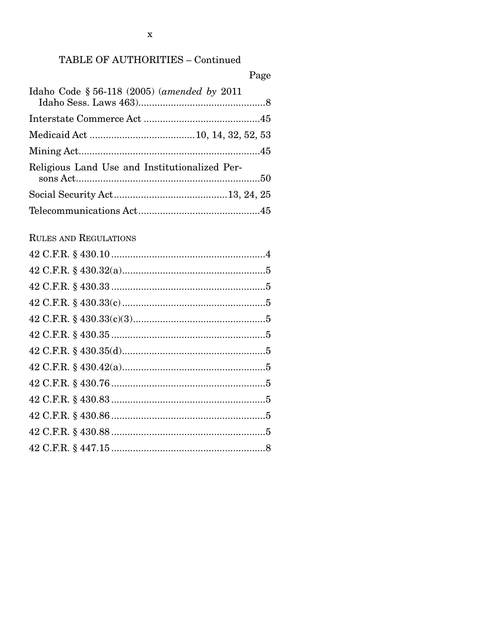$\overline{\phantom{a}}$ 

| Page                                          |
|-----------------------------------------------|
| Idaho Code § 56-118 (2005) (amended by 2011   |
|                                               |
|                                               |
|                                               |
| Religious Land Use and Institutionalized Per- |
|                                               |
|                                               |
| <b>RULES AND REGULATIONS</b>                  |
|                                               |
|                                               |
|                                               |
|                                               |
|                                               |
|                                               |
|                                               |
|                                               |
|                                               |
|                                               |
|                                               |
|                                               |
|                                               |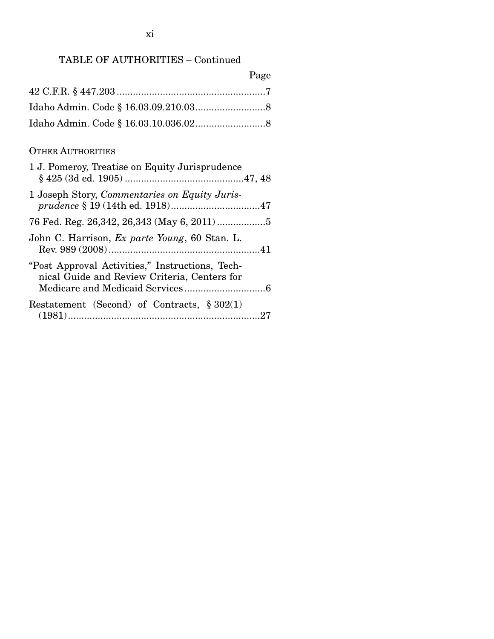| Page |
|------|
|      |
|      |
|      |

### OTHER AUTHORITIES

| 1 J. Pomeroy, Treatise on Equity Jurisprudence                                                  |
|-------------------------------------------------------------------------------------------------|
| 1 Joseph Story, Commentaries on Equity Juris-                                                   |
|                                                                                                 |
| John C. Harrison, Ex parte Young, 60 Stan. L.                                                   |
| "Post Approval Activities," Instructions, Tech-<br>nical Guide and Review Criteria, Centers for |
| Restatement (Second) of Contracts, $\S 302(1)$                                                  |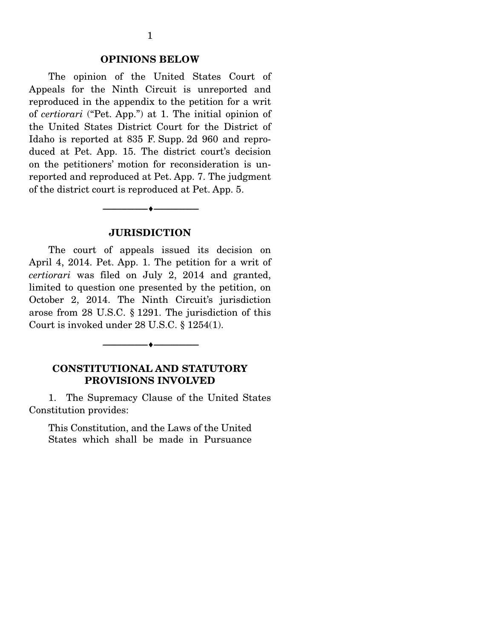#### **OPINIONS BELOW**

 The opinion of the United States Court of Appeals for the Ninth Circuit is unreported and reproduced in the appendix to the petition for a writ of *certiorari* ("Pet. App.") at 1. The initial opinion of the United States District Court for the District of Idaho is reported at 835 F. Supp. 2d 960 and reproduced at Pet. App. 15. The district court's decision on the petitioners' motion for reconsideration is unreported and reproduced at Pet. App. 7. The judgment of the district court is reproduced at Pet. App. 5.

#### **JURISDICTION**

--------------------------------- ---------------------------------

 The court of appeals issued its decision on April 4, 2014. Pet. App. 1. The petition for a writ of *certiorari* was filed on July 2, 2014 and granted, limited to question one presented by the petition, on October 2, 2014. The Ninth Circuit's jurisdiction arose from 28 U.S.C. § 1291. The jurisdiction of this Court is invoked under 28 U.S.C. § 1254(1).

#### **CONSTITUTIONAL AND STATUTORY PROVISIONS INVOLVED**

--------------------------------- ---------------------------------

 1. The Supremacy Clause of the United States Constitution provides:

This Constitution, and the Laws of the United States which shall be made in Pursuance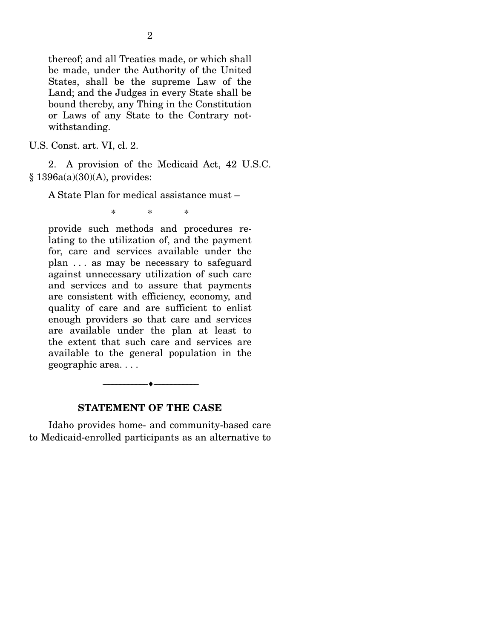thereof; and all Treaties made, or which shall be made, under the Authority of the United States, shall be the supreme Law of the Land; and the Judges in every State shall be bound thereby, any Thing in the Constitution or Laws of any State to the Contrary notwithstanding.

U.S. Const. art. VI, cl. 2.

 2. A provision of the Medicaid Act, 42 U.S.C. § 1396a(a)(30)(A), provides:

A State Plan for medical assistance must –

\* \* \*

provide such methods and procedures relating to the utilization of, and the payment for, care and services available under the plan . . . as may be necessary to safeguard against unnecessary utilization of such care and services and to assure that payments are consistent with efficiency, economy, and quality of care and are sufficient to enlist enough providers so that care and services are available under the plan at least to the extent that such care and services are available to the general population in the geographic area. . . .

--------------------------------- ---------------------------------

#### **STATEMENT OF THE CASE**

 Idaho provides home- and community-based care to Medicaid-enrolled participants as an alternative to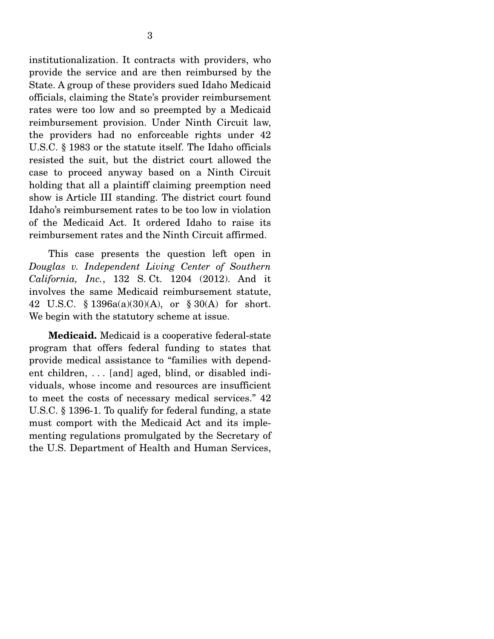institutionalization. It contracts with providers, who provide the service and are then reimbursed by the State. A group of these providers sued Idaho Medicaid officials, claiming the State's provider reimbursement rates were too low and so preempted by a Medicaid reimbursement provision. Under Ninth Circuit law, the providers had no enforceable rights under 42 U.S.C. § 1983 or the statute itself. The Idaho officials resisted the suit, but the district court allowed the case to proceed anyway based on a Ninth Circuit holding that all a plaintiff claiming preemption need show is Article III standing. The district court found Idaho's reimbursement rates to be too low in violation of the Medicaid Act. It ordered Idaho to raise its reimbursement rates and the Ninth Circuit affirmed.

 This case presents the question left open in *Douglas v. Independent Living Center of Southern California, Inc.*, 132 S. Ct. 1204 (2012). And it involves the same Medicaid reimbursement statute, 42 U.S.C. § 1396a(a)(30)(A), or § 30(A) for short. We begin with the statutory scheme at issue.

**Medicaid.** Medicaid is a cooperative federal-state program that offers federal funding to states that provide medical assistance to "families with dependent children, . . . [and] aged, blind, or disabled individuals, whose income and resources are insufficient to meet the costs of necessary medical services." 42 U.S.C. § 1396-1. To qualify for federal funding, a state must comport with the Medicaid Act and its implementing regulations promulgated by the Secretary of the U.S. Department of Health and Human Services,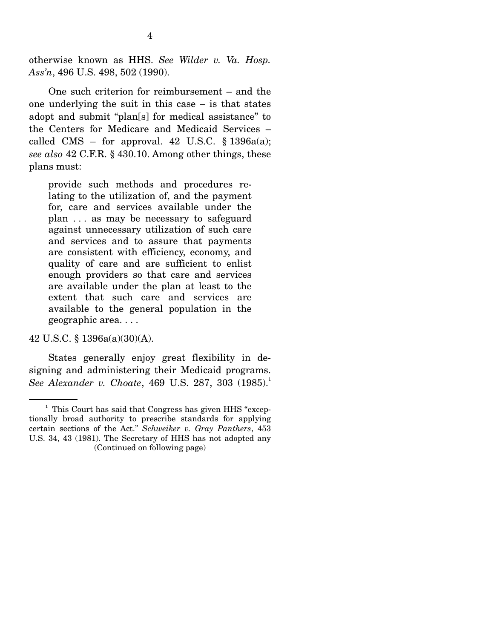otherwise known as HHS. *See Wilder v. Va. Hosp. Ass'n*, 496 U.S. 498, 502 (1990).

 One such criterion for reimbursement – and the one underlying the suit in this case – is that states adopt and submit "plan[s] for medical assistance" to the Centers for Medicare and Medicaid Services – called CMS – for approval. 42 U.S.C.  $\S$  1396a(a); *see also* 42 C.F.R. § 430.10. Among other things, these plans must:

provide such methods and procedures relating to the utilization of, and the payment for, care and services available under the plan . . . as may be necessary to safeguard against unnecessary utilization of such care and services and to assure that payments are consistent with efficiency, economy, and quality of care and are sufficient to enlist enough providers so that care and services are available under the plan at least to the extent that such care and services are available to the general population in the geographic area. . . .

42 U.S.C. § 1396a(a)(30)(A).

 States generally enjoy great flexibility in designing and administering their Medicaid programs. *See Alexander v. Choate, 469 U.S. 287, 303 (1985).*<sup>1</sup>

<sup>&</sup>lt;sup>1</sup> This Court has said that Congress has given HHS "exceptionally broad authority to prescribe standards for applying certain sections of the Act." *Schweiker v. Gray Panthers*, 453 U.S. 34, 43 (1981). The Secretary of HHS has not adopted any (Continued on following page)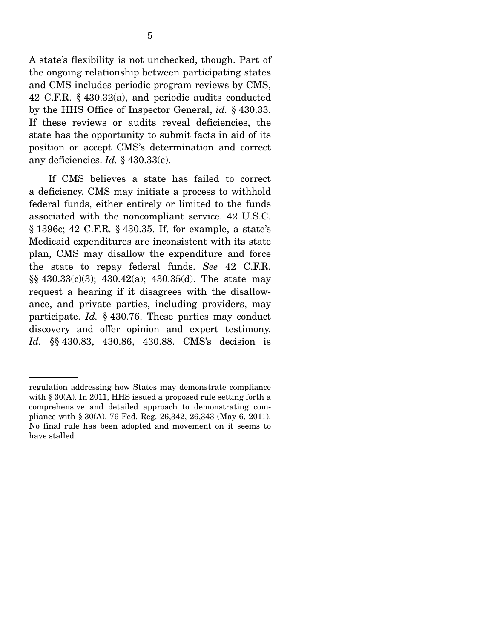A state's flexibility is not unchecked, though. Part of the ongoing relationship between participating states and CMS includes periodic program reviews by CMS, 42 C.F.R. § 430.32(a), and periodic audits conducted by the HHS Office of Inspector General, *id.* § 430.33. If these reviews or audits reveal deficiencies, the state has the opportunity to submit facts in aid of its position or accept CMS's determination and correct any deficiencies. *Id.* § 430.33(c).

 If CMS believes a state has failed to correct a deficiency, CMS may initiate a process to withhold federal funds, either entirely or limited to the funds associated with the noncompliant service. 42 U.S.C. § 1396c; 42 C.F.R. § 430.35. If, for example, a state's Medicaid expenditures are inconsistent with its state plan, CMS may disallow the expenditure and force the state to repay federal funds. *See* 42 C.F.R. §§ 430.33(c)(3); 430.42(a); 430.35(d). The state may request a hearing if it disagrees with the disallowance, and private parties, including providers, may participate. *Id.* § 430.76. These parties may conduct discovery and offer opinion and expert testimony. *Id.* §§ 430.83, 430.86, 430.88. CMS's decision is

regulation addressing how States may demonstrate compliance with § 30(A). In 2011, HHS issued a proposed rule setting forth a comprehensive and detailed approach to demonstrating compliance with § 30(A). 76 Fed. Reg. 26,342, 26,343 (May 6, 2011). No final rule has been adopted and movement on it seems to have stalled.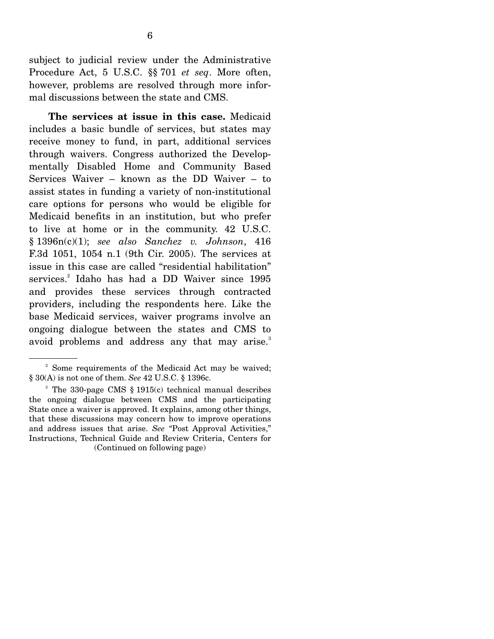subject to judicial review under the Administrative Procedure Act, 5 U.S.C. §§ 701 *et seq*. More often, however, problems are resolved through more informal discussions between the state and CMS.

**The services at issue in this case.** Medicaid includes a basic bundle of services, but states may receive money to fund, in part, additional services through waivers. Congress authorized the Developmentally Disabled Home and Community Based Services Waiver – known as the DD Waiver – to assist states in funding a variety of non-institutional care options for persons who would be eligible for Medicaid benefits in an institution, but who prefer to live at home or in the community. 42 U.S.C. § 1396n(c)(1); *see also Sanchez v. Johnson*, 416 F.3d 1051, 1054 n.1 (9th Cir. 2005). The services at issue in this case are called "residential habilitation" services.<sup>2</sup> Idaho has had a DD Waiver since 1995 and provides these services through contracted providers, including the respondents here. Like the base Medicaid services, waiver programs involve an ongoing dialogue between the states and CMS to avoid problems and address any that may arise.<sup>3</sup>

<sup>&</sup>lt;sup>2</sup> Some requirements of the Medicaid Act may be waived; § 30(A) is not one of them. *See* 42 U.S.C. § 1396c.

<sup>3</sup> The 330-page CMS § 1915(c) technical manual describes the ongoing dialogue between CMS and the participating State once a waiver is approved. It explains, among other things, that these discussions may concern how to improve operations and address issues that arise. *See* "Post Approval Activities," Instructions, Technical Guide and Review Criteria, Centers for (Continued on following page)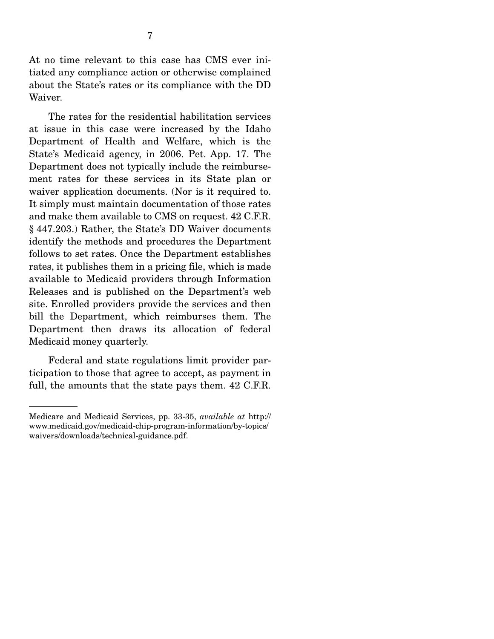At no time relevant to this case has CMS ever initiated any compliance action or otherwise complained about the State's rates or its compliance with the DD Waiver.

 The rates for the residential habilitation services at issue in this case were increased by the Idaho Department of Health and Welfare, which is the State's Medicaid agency, in 2006. Pet. App. 17. The Department does not typically include the reimbursement rates for these services in its State plan or waiver application documents. (Nor is it required to. It simply must maintain documentation of those rates and make them available to CMS on request. 42 C.F.R. § 447.203.) Rather, the State's DD Waiver documents identify the methods and procedures the Department follows to set rates. Once the Department establishes rates, it publishes them in a pricing file, which is made available to Medicaid providers through Information Releases and is published on the Department's web site. Enrolled providers provide the services and then bill the Department, which reimburses them. The Department then draws its allocation of federal Medicaid money quarterly.

 Federal and state regulations limit provider participation to those that agree to accept, as payment in full, the amounts that the state pays them. 42 C.F.R.

Medicare and Medicaid Services, pp. 33-35, *available at* http:// www.medicaid.gov/medicaid-chip-program-information/by-topics/ waivers/downloads/technical-guidance.pdf.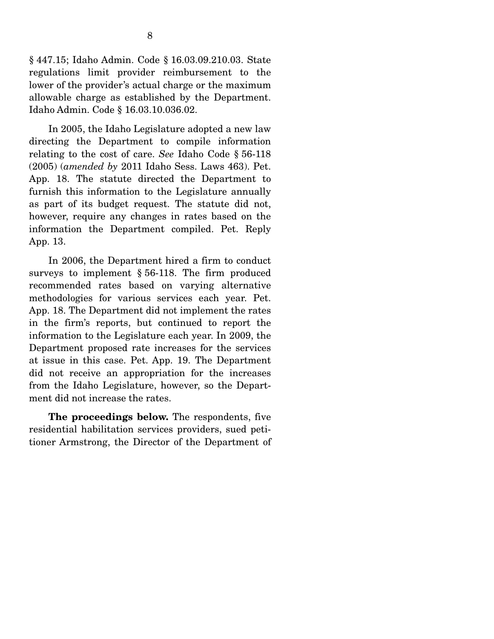§ 447.15; Idaho Admin. Code § 16.03.09.210.03. State regulations limit provider reimbursement to the lower of the provider's actual charge or the maximum allowable charge as established by the Department. Idaho Admin. Code § 16.03.10.036.02.

 In 2005, the Idaho Legislature adopted a new law directing the Department to compile information relating to the cost of care. *See* Idaho Code § 56-118 (2005) (*amended by* 2011 Idaho Sess. Laws 463). Pet. App. 18. The statute directed the Department to furnish this information to the Legislature annually as part of its budget request. The statute did not, however, require any changes in rates based on the information the Department compiled. Pet. Reply App. 13.

 In 2006, the Department hired a firm to conduct surveys to implement § 56-118. The firm produced recommended rates based on varying alternative methodologies for various services each year. Pet. App. 18. The Department did not implement the rates in the firm's reports, but continued to report the information to the Legislature each year. In 2009, the Department proposed rate increases for the services at issue in this case. Pet. App. 19. The Department did not receive an appropriation for the increases from the Idaho Legislature, however, so the Department did not increase the rates.

**The proceedings below.** The respondents, five residential habilitation services providers, sued petitioner Armstrong, the Director of the Department of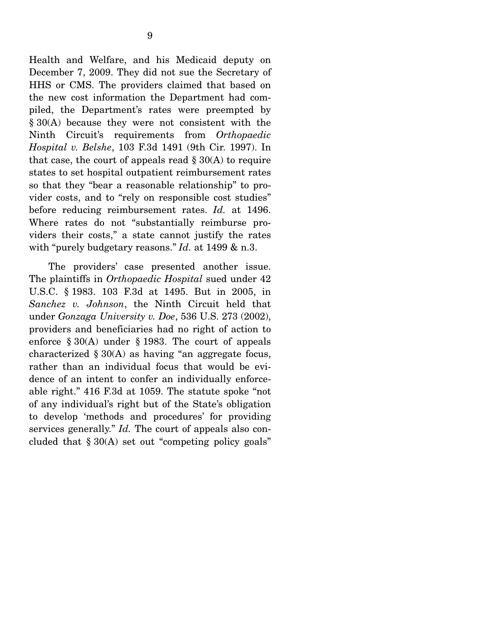Health and Welfare, and his Medicaid deputy on December 7, 2009. They did not sue the Secretary of HHS or CMS. The providers claimed that based on the new cost information the Department had compiled, the Department's rates were preempted by § 30(A) because they were not consistent with the Ninth Circuit's requirements from *Orthopaedic Hospital v. Belshe*, 103 F.3d 1491 (9th Cir. 1997). In that case, the court of appeals read  $\S 30(A)$  to require states to set hospital outpatient reimbursement rates so that they "bear a reasonable relationship" to provider costs, and to "rely on responsible cost studies" before reducing reimbursement rates. *Id.* at 1496. Where rates do not "substantially reimburse providers their costs," a state cannot justify the rates with "purely budgetary reasons." *Id.* at 1499 & n.3.

 The providers' case presented another issue. The plaintiffs in *Orthopaedic Hospital* sued under 42 U.S.C. § 1983. 103 F.3d at 1495. But in 2005, in *Sanchez v. Johnson*, the Ninth Circuit held that under *Gonzaga University v. Doe*, 536 U.S. 273 (2002), providers and beneficiaries had no right of action to enforce § 30(A) under § 1983. The court of appeals characterized  $\S 30(A)$  as having "an aggregate focus, rather than an individual focus that would be evidence of an intent to confer an individually enforceable right." 416 F.3d at 1059. The statute spoke "not of any individual's right but of the State's obligation to develop 'methods and procedures' for providing services generally." *Id.* The court of appeals also concluded that  $\S 30(A)$  set out "competing policy goals"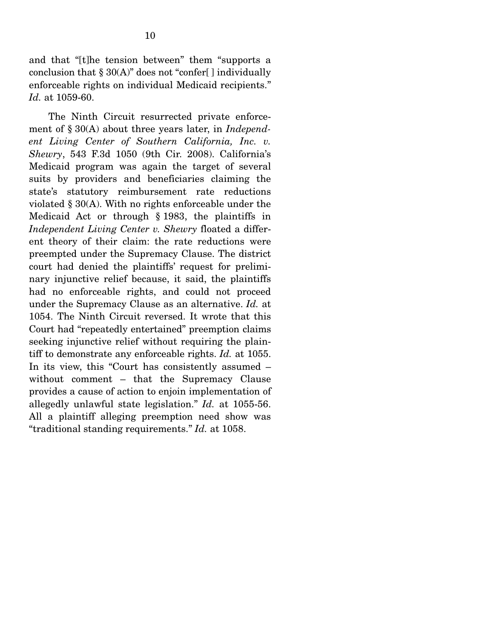and that "[t]he tension between" them "supports a conclusion that  $\S 30(A)$ " does not "confer[] individually enforceable rights on individual Medicaid recipients." *Id.* at 1059-60.

 The Ninth Circuit resurrected private enforcement of § 30(A) about three years later, in *Independent Living Center of Southern California, Inc. v. Shewry*, 543 F.3d 1050 (9th Cir. 2008). California's Medicaid program was again the target of several suits by providers and beneficiaries claiming the state's statutory reimbursement rate reductions violated § 30(A). With no rights enforceable under the Medicaid Act or through § 1983, the plaintiffs in *Independent Living Center v. Shewry* floated a different theory of their claim: the rate reductions were preempted under the Supremacy Clause. The district court had denied the plaintiffs' request for preliminary injunctive relief because, it said, the plaintiffs had no enforceable rights, and could not proceed under the Supremacy Clause as an alternative. *Id.* at 1054. The Ninth Circuit reversed. It wrote that this Court had "repeatedly entertained" preemption claims seeking injunctive relief without requiring the plaintiff to demonstrate any enforceable rights. *Id.* at 1055. In its view, this "Court has consistently assumed – without comment – that the Supremacy Clause provides a cause of action to enjoin implementation of allegedly unlawful state legislation." *Id.* at 1055-56. All a plaintiff alleging preemption need show was "traditional standing requirements." *Id.* at 1058.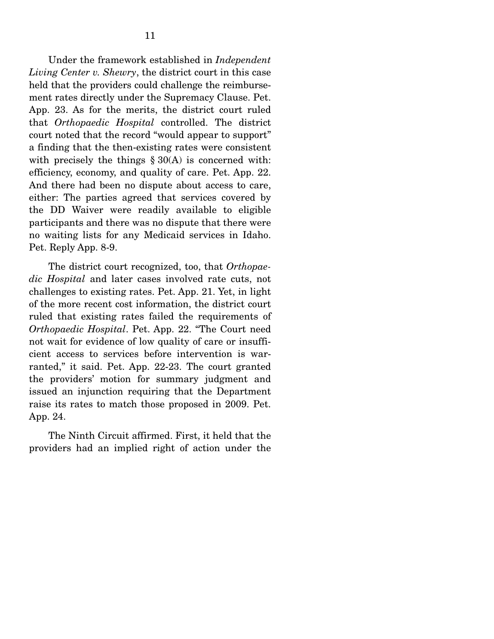Under the framework established in *Independent Living Center v. Shewry*, the district court in this case held that the providers could challenge the reimbursement rates directly under the Supremacy Clause. Pet. App. 23. As for the merits, the district court ruled that *Orthopaedic Hospital* controlled. The district court noted that the record "would appear to support" a finding that the then-existing rates were consistent with precisely the things  $\S 30(A)$  is concerned with: efficiency, economy, and quality of care. Pet. App. 22. And there had been no dispute about access to care, either: The parties agreed that services covered by the DD Waiver were readily available to eligible participants and there was no dispute that there were no waiting lists for any Medicaid services in Idaho. Pet. Reply App. 8-9.

 The district court recognized, too, that *Orthopaedic Hospital* and later cases involved rate cuts, not challenges to existing rates. Pet. App. 21. Yet, in light of the more recent cost information, the district court ruled that existing rates failed the requirements of *Orthopaedic Hospital*. Pet. App. 22. "The Court need not wait for evidence of low quality of care or insufficient access to services before intervention is warranted," it said. Pet. App. 22-23. The court granted the providers' motion for summary judgment and issued an injunction requiring that the Department raise its rates to match those proposed in 2009. Pet. App. 24.

 The Ninth Circuit affirmed. First, it held that the providers had an implied right of action under the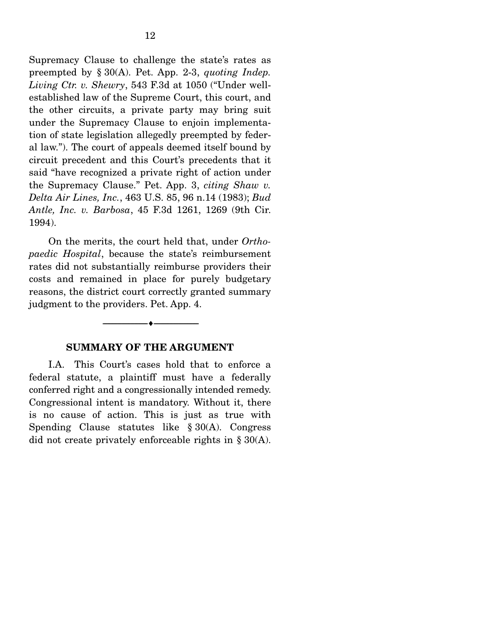Supremacy Clause to challenge the state's rates as preempted by § 30(A). Pet. App. 2-3, *quoting Indep. Living Ctr. v. Shewry*, 543 F.3d at 1050 ("Under wellestablished law of the Supreme Court, this court, and the other circuits, a private party may bring suit under the Supremacy Clause to enjoin implementation of state legislation allegedly preempted by federal law."). The court of appeals deemed itself bound by circuit precedent and this Court's precedents that it said "have recognized a private right of action under the Supremacy Clause." Pet. App. 3, *citing Shaw v. Delta Air Lines, Inc.*, 463 U.S. 85, 96 n.14 (1983); *Bud Antle, Inc. v. Barbosa*, 45 F.3d 1261, 1269 (9th Cir. 1994).

 On the merits, the court held that, under *Orthopaedic Hospital*, because the state's reimbursement rates did not substantially reimburse providers their costs and remained in place for purely budgetary reasons, the district court correctly granted summary judgment to the providers. Pet. App. 4.

#### **SUMMARY OF THE ARGUMENT**

--------------------------------- ---------------------------------

 I.A. This Court's cases hold that to enforce a federal statute, a plaintiff must have a federally conferred right and a congressionally intended remedy. Congressional intent is mandatory. Without it, there is no cause of action. This is just as true with Spending Clause statutes like § 30(A). Congress did not create privately enforceable rights in § 30(A).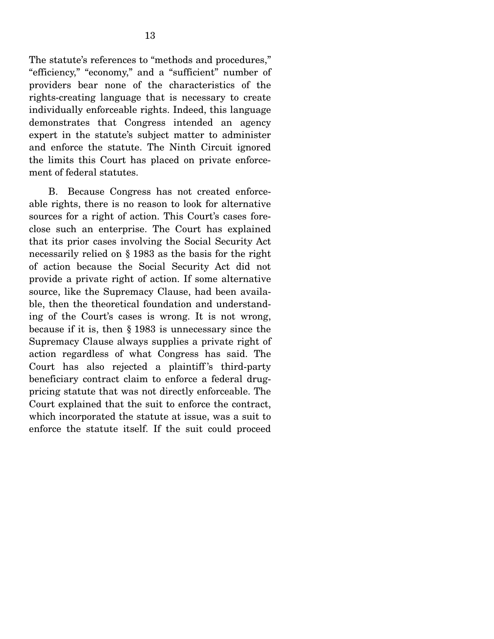The statute's references to "methods and procedures," "efficiency," "economy," and a "sufficient" number of providers bear none of the characteristics of the rights-creating language that is necessary to create individually enforceable rights. Indeed, this language demonstrates that Congress intended an agency expert in the statute's subject matter to administer and enforce the statute. The Ninth Circuit ignored the limits this Court has placed on private enforcement of federal statutes.

 B. Because Congress has not created enforceable rights, there is no reason to look for alternative sources for a right of action. This Court's cases foreclose such an enterprise. The Court has explained that its prior cases involving the Social Security Act necessarily relied on § 1983 as the basis for the right of action because the Social Security Act did not provide a private right of action. If some alternative source, like the Supremacy Clause, had been available, then the theoretical foundation and understanding of the Court's cases is wrong. It is not wrong, because if it is, then § 1983 is unnecessary since the Supremacy Clause always supplies a private right of action regardless of what Congress has said. The Court has also rejected a plaintiff's third-party beneficiary contract claim to enforce a federal drugpricing statute that was not directly enforceable. The Court explained that the suit to enforce the contract, which incorporated the statute at issue, was a suit to enforce the statute itself. If the suit could proceed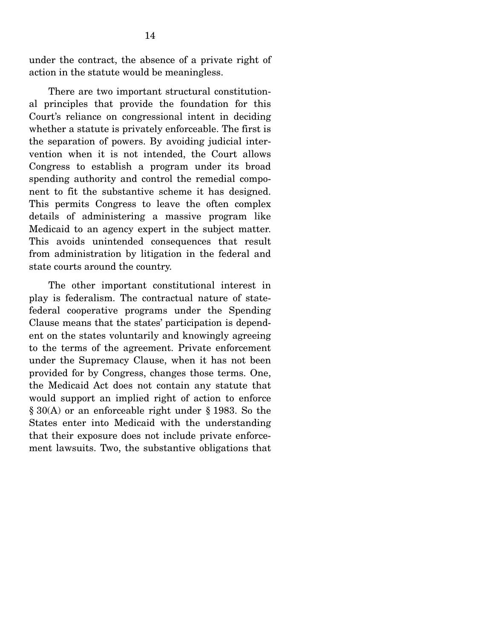under the contract, the absence of a private right of action in the statute would be meaningless.

 There are two important structural constitutional principles that provide the foundation for this Court's reliance on congressional intent in deciding whether a statute is privately enforceable. The first is the separation of powers. By avoiding judicial intervention when it is not intended, the Court allows Congress to establish a program under its broad spending authority and control the remedial component to fit the substantive scheme it has designed. This permits Congress to leave the often complex details of administering a massive program like Medicaid to an agency expert in the subject matter. This avoids unintended consequences that result from administration by litigation in the federal and state courts around the country.

 The other important constitutional interest in play is federalism. The contractual nature of statefederal cooperative programs under the Spending Clause means that the states' participation is dependent on the states voluntarily and knowingly agreeing to the terms of the agreement. Private enforcement under the Supremacy Clause, when it has not been provided for by Congress, changes those terms. One, the Medicaid Act does not contain any statute that would support an implied right of action to enforce § 30(A) or an enforceable right under § 1983. So the States enter into Medicaid with the understanding that their exposure does not include private enforcement lawsuits. Two, the substantive obligations that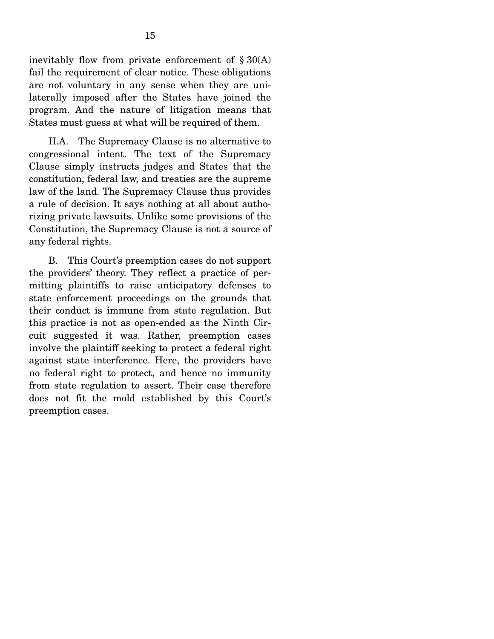inevitably flow from private enforcement of  $\S 30(A)$ fail the requirement of clear notice. These obligations are not voluntary in any sense when they are unilaterally imposed after the States have joined the program. And the nature of litigation means that States must guess at what will be required of them.

 II.A. The Supremacy Clause is no alternative to congressional intent. The text of the Supremacy Clause simply instructs judges and States that the constitution, federal law, and treaties are the supreme law of the land. The Supremacy Clause thus provides a rule of decision. It says nothing at all about authorizing private lawsuits. Unlike some provisions of the Constitution, the Supremacy Clause is not a source of any federal rights.

 B. This Court's preemption cases do not support the providers' theory. They reflect a practice of permitting plaintiffs to raise anticipatory defenses to state enforcement proceedings on the grounds that their conduct is immune from state regulation. But this practice is not as open-ended as the Ninth Circuit suggested it was. Rather, preemption cases involve the plaintiff seeking to protect a federal right against state interference. Here, the providers have no federal right to protect, and hence no immunity from state regulation to assert. Their case therefore does not fit the mold established by this Court's preemption cases. Î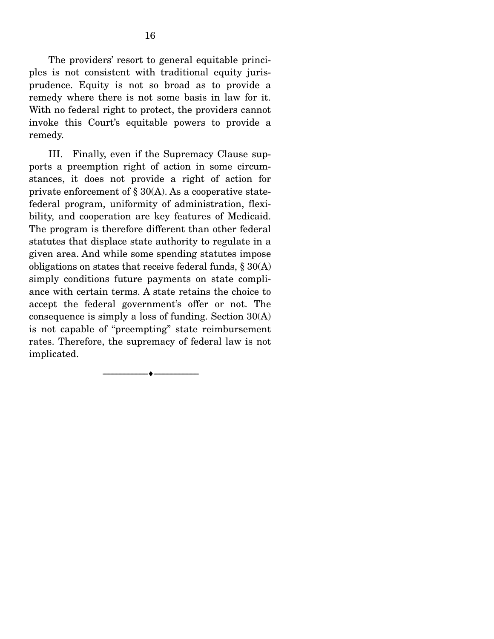The providers' resort to general equitable principles is not consistent with traditional equity jurisprudence. Equity is not so broad as to provide a remedy where there is not some basis in law for it. With no federal right to protect, the providers cannot invoke this Court's equitable powers to provide a remedy.

 III. Finally, even if the Supremacy Clause supports a preemption right of action in some circumstances, it does not provide a right of action for private enforcement of  $\S 30(A)$ . As a cooperative statefederal program, uniformity of administration, flexibility, and cooperation are key features of Medicaid. The program is therefore different than other federal statutes that displace state authority to regulate in a given area. And while some spending statutes impose obligations on states that receive federal funds,  $\S 30(A)$ simply conditions future payments on state compliance with certain terms. A state retains the choice to accept the federal government's offer or not. The consequence is simply a loss of funding. Section 30(A) is not capable of "preempting" state reimbursement rates. Therefore, the supremacy of federal law is not implicated.

--------------------------------- ---------------------------------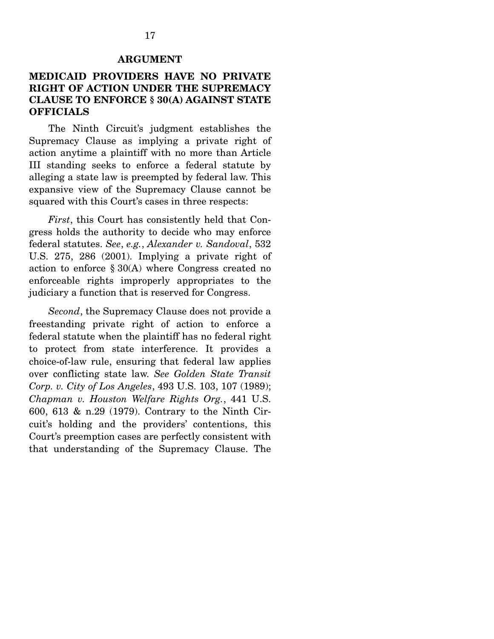#### **ARGUMENT**

#### **MEDICAID PROVIDERS HAVE NO PRIVATE RIGHT OF ACTION UNDER THE SUPREMACY CLAUSE TO ENFORCE § 30(A) AGAINST STATE OFFICIALS**

 The Ninth Circuit's judgment establishes the Supremacy Clause as implying a private right of action anytime a plaintiff with no more than Article III standing seeks to enforce a federal statute by alleging a state law is preempted by federal law. This expansive view of the Supremacy Clause cannot be squared with this Court's cases in three respects:

*First*, this Court has consistently held that Congress holds the authority to decide who may enforce federal statutes. *See*, *e.g.*, *Alexander v. Sandoval*, 532 U.S. 275, 286 (2001). Implying a private right of action to enforce § 30(A) where Congress created no enforceable rights improperly appropriates to the judiciary a function that is reserved for Congress.

*Second*, the Supremacy Clause does not provide a freestanding private right of action to enforce a federal statute when the plaintiff has no federal right to protect from state interference. It provides a choice-of-law rule, ensuring that federal law applies over conflicting state law. *See Golden State Transit Corp. v. City of Los Angeles*, 493 U.S. 103, 107 (1989); *Chapman v. Houston Welfare Rights Org.*, 441 U.S. 600, 613 & n.29 (1979). Contrary to the Ninth Circuit's holding and the providers' contentions, this Court's preemption cases are perfectly consistent with that understanding of the Supremacy Clause. The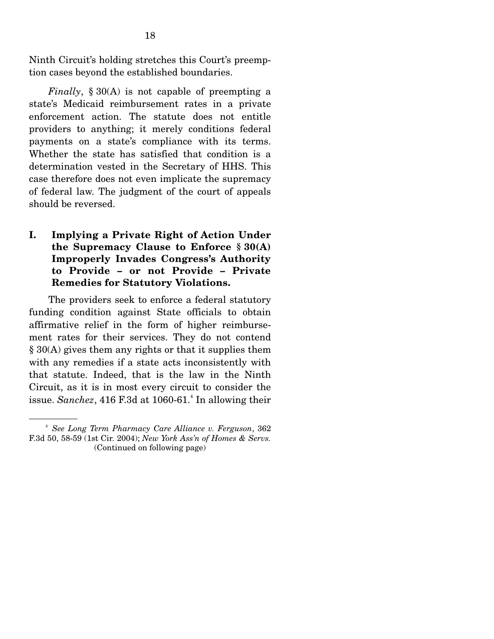Ninth Circuit's holding stretches this Court's preemption cases beyond the established boundaries.

*Finally*, § 30(A) is not capable of preempting a state's Medicaid reimbursement rates in a private enforcement action. The statute does not entitle providers to anything; it merely conditions federal payments on a state's compliance with its terms. Whether the state has satisfied that condition is a determination vested in the Secretary of HHS. This case therefore does not even implicate the supremacy of federal law. The judgment of the court of appeals should be reversed.

**I. Implying a Private Right of Action Under the Supremacy Clause to Enforce § 30(A) Improperly Invades Congress's Authority to Provide – or not Provide – Private Remedies for Statutory Violations.**

 The providers seek to enforce a federal statutory funding condition against State officials to obtain affirmative relief in the form of higher reimbursement rates for their services. They do not contend § 30(A) gives them any rights or that it supplies them with any remedies if a state acts inconsistently with that statute. Indeed, that is the law in the Ninth Circuit, as it is in most every circuit to consider the issue. Sanchez, 416 F.3d at 1060-61.<sup>4</sup> In allowing their

<sup>4</sup> *See Long Term Pharmacy Care Alliance v. Ferguson*, 362 F.3d 50, 58-59 (1st Cir. 2004); *New York Ass'n of Homes & Servs.*  (Continued on following page)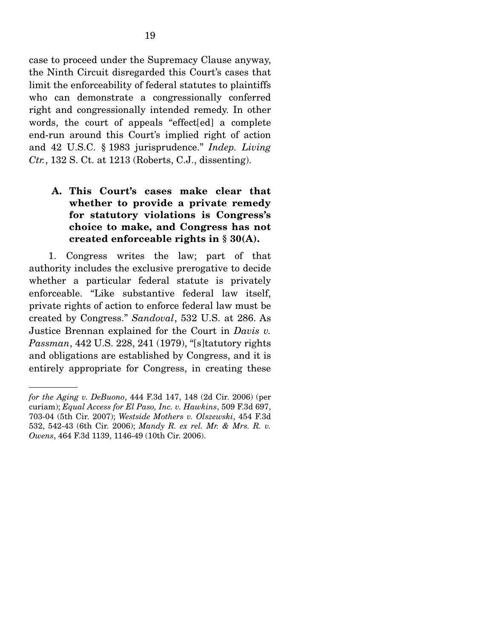case to proceed under the Supremacy Clause anyway, the Ninth Circuit disregarded this Court's cases that limit the enforceability of federal statutes to plaintiffs who can demonstrate a congressionally conferred right and congressionally intended remedy. In other words, the court of appeals "effect[ed] a complete end-run around this Court's implied right of action and 42 U.S.C. § 1983 jurisprudence." *Indep. Living Ctr.*, 132 S. Ct. at 1213 (Roberts, C.J., dissenting).

**A. This Court's cases make clear that whether to provide a private remedy for statutory violations is Congress's choice to make, and Congress has not created enforceable rights in § 30(A).**

 1. Congress writes the law; part of that authority includes the exclusive prerogative to decide whether a particular federal statute is privately enforceable. "Like substantive federal law itself, private rights of action to enforce federal law must be created by Congress." *Sandoval*, 532 U.S. at 286. As Justice Brennan explained for the Court in *Davis v. Passman*, 442 U.S. 228, 241 (1979), "[s]tatutory rights and obligations are established by Congress, and it is entirely appropriate for Congress, in creating these

*for the Aging v. DeBuono*, 444 F.3d 147, 148 (2d Cir. 2006) (per curiam); *Equal Access for El Paso, Inc. v. Hawkins*, 509 F.3d 697, 703-04 (5th Cir. 2007); *Westside Mothers v. Olszewski*, 454 F.3d 532, 542-43 (6th Cir. 2006); *Mandy R. ex rel. Mr. & Mrs. R. v. Owens*, 464 F.3d 1139, 1146-49 (10th Cir. 2006).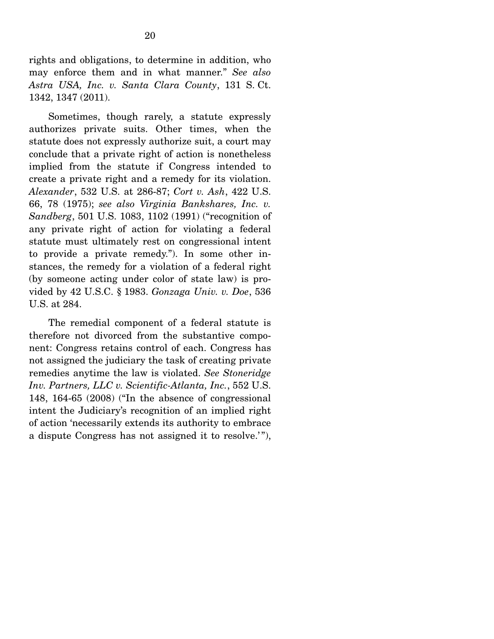rights and obligations, to determine in addition, who may enforce them and in what manner." *See also Astra USA, Inc. v. Santa Clara County*, 131 S. Ct. 1342, 1347 (2011).

 Sometimes, though rarely, a statute expressly authorizes private suits. Other times, when the statute does not expressly authorize suit, a court may conclude that a private right of action is nonetheless implied from the statute if Congress intended to create a private right and a remedy for its violation. *Alexander*, 532 U.S. at 286-87; *Cort v. Ash*, 422 U.S. 66, 78 (1975); *see also Virginia Bankshares, Inc. v. Sandberg*, 501 U.S. 1083, 1102 (1991) ("recognition of any private right of action for violating a federal statute must ultimately rest on congressional intent to provide a private remedy."). In some other instances, the remedy for a violation of a federal right (by someone acting under color of state law) is provided by 42 U.S.C. § 1983. *Gonzaga Univ. v. Doe*, 536 U.S. at 284.

 The remedial component of a federal statute is therefore not divorced from the substantive component: Congress retains control of each. Congress has not assigned the judiciary the task of creating private remedies anytime the law is violated. *See Stoneridge Inv. Partners, LLC v. Scientific-Atlanta, Inc.*, 552 U.S. 148, 164-65 (2008) ("In the absence of congressional intent the Judiciary's recognition of an implied right of action 'necessarily extends its authority to embrace a dispute Congress has not assigned it to resolve.'"),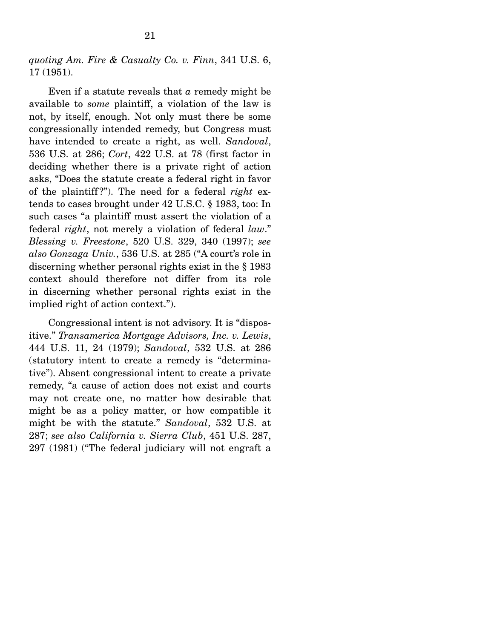*quoting Am. Fire & Casualty Co. v. Finn*, 341 U.S. 6, 17 (1951).

 Even if a statute reveals that *a* remedy might be available to *some* plaintiff, a violation of the law is not, by itself, enough. Not only must there be some congressionally intended remedy, but Congress must have intended to create a right, as well. *Sandoval*, 536 U.S. at 286; *Cort*, 422 U.S. at 78 (first factor in deciding whether there is a private right of action asks, "Does the statute create a federal right in favor of the plaintiff ?"). The need for a federal *right* extends to cases brought under 42 U.S.C. § 1983, too: In such cases "a plaintiff must assert the violation of a federal *right*, not merely a violation of federal *law*." *Blessing v. Freestone*, 520 U.S. 329, 340 (1997); *see also Gonzaga Univ.*, 536 U.S. at 285 ("A court's role in discerning whether personal rights exist in the § 1983 context should therefore not differ from its role in discerning whether personal rights exist in the implied right of action context.").

 Congressional intent is not advisory. It is "dispositive." *Transamerica Mortgage Advisors, Inc. v. Lewis*, 444 U.S. 11, 24 (1979); *Sandoval*, 532 U.S. at 286 (statutory intent to create a remedy is "determinative"). Absent congressional intent to create a private remedy, "a cause of action does not exist and courts may not create one, no matter how desirable that might be as a policy matter, or how compatible it might be with the statute." *Sandoval*, 532 U.S. at 287; *see also California v. Sierra Club*, 451 U.S. 287, 297 (1981) ("The federal judiciary will not engraft a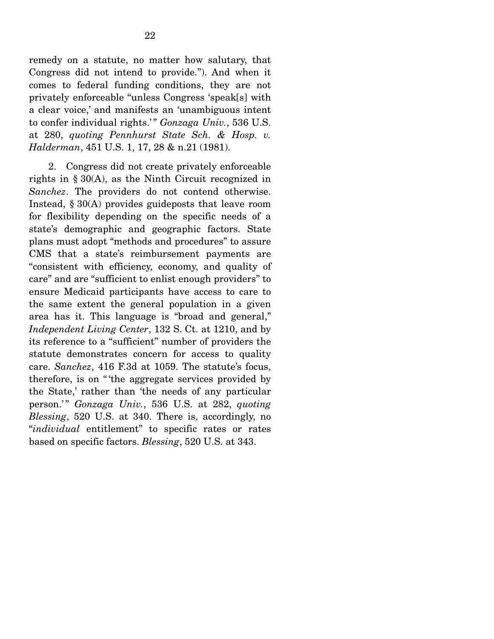remedy on a statute, no matter how salutary, that Congress did not intend to provide."). And when it comes to federal funding conditions, they are not privately enforceable "unless Congress 'speak[s] with a clear voice,' and manifests an 'unambiguous intent to confer individual rights.'" Gonzaga Univ., 536 U.S. at 280, *quoting Pennhurst State Sch. & Hosp. v. Halderman*, 451 U.S. 1, 17, 28 & n.21 (1981).

 2. Congress did not create privately enforceable rights in § 30(A), as the Ninth Circuit recognized in *Sanchez*. The providers do not contend otherwise. Instead, § 30(A) provides guideposts that leave room for flexibility depending on the specific needs of a state's demographic and geographic factors. State plans must adopt "methods and procedures" to assure CMS that a state's reimbursement payments are "consistent with efficiency, economy, and quality of care" and are "sufficient to enlist enough providers" to ensure Medicaid participants have access to care to the same extent the general population in a given area has it. This language is "broad and general," *Independent Living Center*, 132 S. Ct. at 1210, and by its reference to a "sufficient" number of providers the statute demonstrates concern for access to quality care. *Sanchez*, 416 F.3d at 1059. The statute's focus, therefore, is on " 'the aggregate services provided by the State,' rather than 'the needs of any particular person.'" *Gonzaga Univ.*, 536 U.S. at 282, *quoting Blessing*, 520 U.S. at 340. There is, accordingly, no "*individual* entitlement" to specific rates or rates based on specific factors. *Blessing*, 520 U.S. at 343.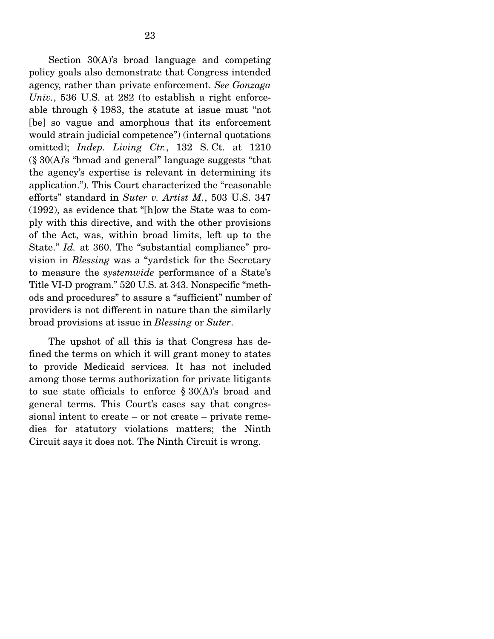Section 30(A)'s broad language and competing policy goals also demonstrate that Congress intended agency, rather than private enforcement. *See Gonzaga Univ.*, 536 U.S. at 282 (to establish a right enforceable through § 1983, the statute at issue must "not [be] so vague and amorphous that its enforcement would strain judicial competence") (internal quotations omitted); *Indep. Living Ctr.*, 132 S. Ct. at 1210 (§ 30(A)'s "broad and general" language suggests "that the agency's expertise is relevant in determining its application."). This Court characterized the "reasonable efforts" standard in *Suter v. Artist M.*, 503 U.S. 347 (1992), as evidence that "[h]ow the State was to comply with this directive, and with the other provisions of the Act, was, within broad limits, left up to the State." *Id.* at 360. The "substantial compliance" provision in *Blessing* was a "yardstick for the Secretary to measure the *systemwide* performance of a State's Title VI-D program." 520 U.S. at 343. Nonspecific "methods and procedures" to assure a "sufficient" number of providers is not different in nature than the similarly broad provisions at issue in *Blessing* or *Suter*.

 The upshot of all this is that Congress has defined the terms on which it will grant money to states to provide Medicaid services. It has not included among those terms authorization for private litigants to sue state officials to enforce  $\S 30(A)$ 's broad and general terms. This Court's cases say that congressional intent to create – or not create – private remedies for statutory violations matters; the Ninth Circuit says it does not. The Ninth Circuit is wrong.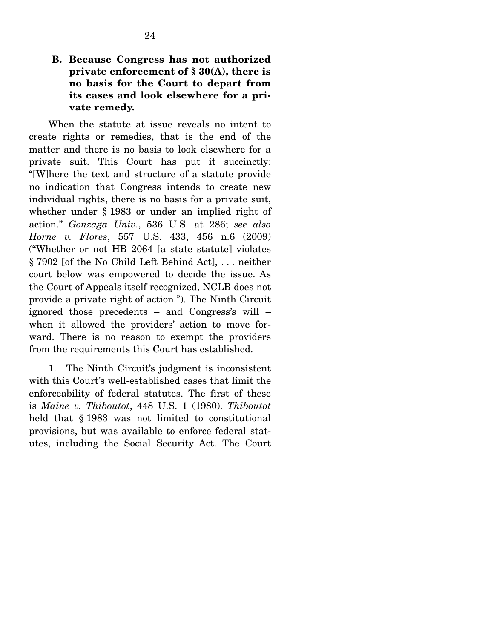### **B. Because Congress has not authorized private enforcement of § 30(A), there is no basis for the Court to depart from its cases and look elsewhere for a private remedy.**

 When the statute at issue reveals no intent to create rights or remedies, that is the end of the matter and there is no basis to look elsewhere for a private suit. This Court has put it succinctly: "[W]here the text and structure of a statute provide no indication that Congress intends to create new individual rights, there is no basis for a private suit, whether under § 1983 or under an implied right of action." *Gonzaga Univ.*, 536 U.S. at 286; *see also Horne v. Flores*, 557 U.S. 433, 456 n.6 (2009) ("Whether or not HB 2064 [a state statute] violates § 7902 [of the No Child Left Behind Act], . . . neither court below was empowered to decide the issue. As the Court of Appeals itself recognized, NCLB does not provide a private right of action."). The Ninth Circuit ignored those precedents – and Congress's will – when it allowed the providers' action to move forward. There is no reason to exempt the providers from the requirements this Court has established.

 1. The Ninth Circuit's judgment is inconsistent with this Court's well-established cases that limit the enforceability of federal statutes. The first of these is *Maine v. Thiboutot*, 448 U.S. 1 (1980). *Thiboutot* held that § 1983 was not limited to constitutional provisions, but was available to enforce federal statutes, including the Social Security Act. The Court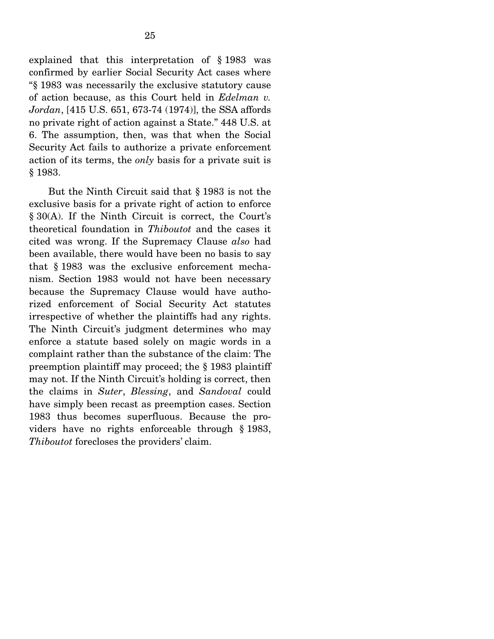explained that this interpretation of § 1983 was confirmed by earlier Social Security Act cases where "§ 1983 was necessarily the exclusive statutory cause of action because, as this Court held in *Edelman v. Jordan*, [415 U.S. 651, 673-74 (1974)], the SSA affords no private right of action against a State." 448 U.S. at 6. The assumption, then, was that when the Social Security Act fails to authorize a private enforcement action of its terms, the *only* basis for a private suit is § 1983.

 But the Ninth Circuit said that § 1983 is not the exclusive basis for a private right of action to enforce § 30(A). If the Ninth Circuit is correct, the Court's theoretical foundation in *Thiboutot* and the cases it cited was wrong. If the Supremacy Clause *also* had been available, there would have been no basis to say that § 1983 was the exclusive enforcement mechanism. Section 1983 would not have been necessary because the Supremacy Clause would have authorized enforcement of Social Security Act statutes irrespective of whether the plaintiffs had any rights. The Ninth Circuit's judgment determines who may enforce a statute based solely on magic words in a complaint rather than the substance of the claim: The preemption plaintiff may proceed; the § 1983 plaintiff may not. If the Ninth Circuit's holding is correct, then the claims in *Suter*, *Blessing*, and *Sandoval* could have simply been recast as preemption cases. Section 1983 thus becomes superfluous. Because the providers have no rights enforceable through § 1983, *Thiboutot* forecloses the providers' claim.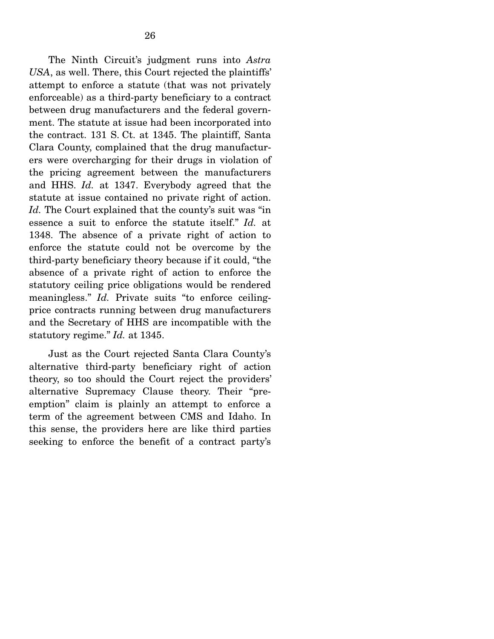The Ninth Circuit's judgment runs into *Astra USA*, as well. There, this Court rejected the plaintiffs' attempt to enforce a statute (that was not privately enforceable) as a third-party beneficiary to a contract between drug manufacturers and the federal government. The statute at issue had been incorporated into the contract. 131 S. Ct. at 1345. The plaintiff, Santa Clara County, complained that the drug manufacturers were overcharging for their drugs in violation of the pricing agreement between the manufacturers and HHS. *Id.* at 1347. Everybody agreed that the statute at issue contained no private right of action. *Id.* The Court explained that the county's suit was "in essence a suit to enforce the statute itself." *Id.* at 1348. The absence of a private right of action to enforce the statute could not be overcome by the third-party beneficiary theory because if it could, "the absence of a private right of action to enforce the statutory ceiling price obligations would be rendered meaningless." *Id.* Private suits "to enforce ceilingprice contracts running between drug manufacturers and the Secretary of HHS are incompatible with the statutory regime." *Id.* at 1345.

 Just as the Court rejected Santa Clara County's alternative third-party beneficiary right of action theory, so too should the Court reject the providers' alternative Supremacy Clause theory. Their "preemption" claim is plainly an attempt to enforce a term of the agreement between CMS and Idaho. In this sense, the providers here are like third parties seeking to enforce the benefit of a contract party's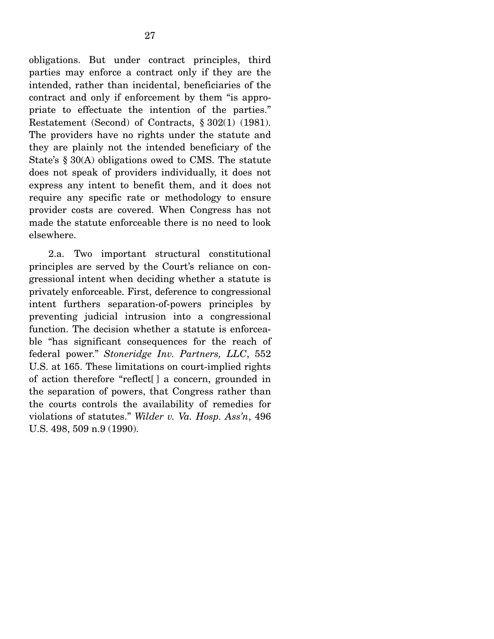obligations. But under contract principles, third parties may enforce a contract only if they are the intended, rather than incidental, beneficiaries of the contract and only if enforcement by them "is appropriate to effectuate the intention of the parties." Restatement (Second) of Contracts, § 302(1) (1981). The providers have no rights under the statute and they are plainly not the intended beneficiary of the State's § 30(A) obligations owed to CMS. The statute does not speak of providers individually, it does not express any intent to benefit them, and it does not require any specific rate or methodology to ensure provider costs are covered. When Congress has not made the statute enforceable there is no need to look elsewhere.

 2.a. Two important structural constitutional principles are served by the Court's reliance on congressional intent when deciding whether a statute is privately enforceable. First, deference to congressional intent furthers separation-of-powers principles by preventing judicial intrusion into a congressional function. The decision whether a statute is enforceable "has significant consequences for the reach of federal power." *Stoneridge Inv. Partners, LLC*, 552 U.S. at 165. These limitations on court-implied rights of action therefore "reflect[] a concern, grounded in the separation of powers, that Congress rather than the courts controls the availability of remedies for violations of statutes." *Wilder v. Va. Hosp. Ass'n*, 496 U.S. 498, 509 n.9 (1990).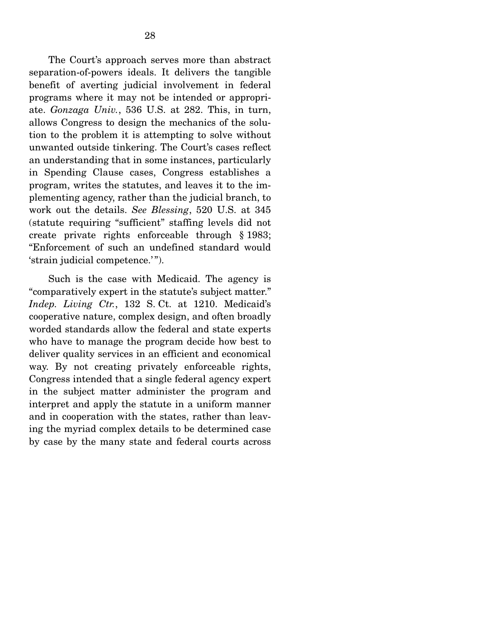The Court's approach serves more than abstract separation-of-powers ideals. It delivers the tangible benefit of averting judicial involvement in federal programs where it may not be intended or appropriate. *Gonzaga Univ.*, 536 U.S. at 282. This, in turn, allows Congress to design the mechanics of the solution to the problem it is attempting to solve without unwanted outside tinkering. The Court's cases reflect an understanding that in some instances, particularly in Spending Clause cases, Congress establishes a program, writes the statutes, and leaves it to the implementing agency, rather than the judicial branch, to work out the details. *See Blessing*, 520 U.S. at 345 (statute requiring "sufficient" staffing levels did not create private rights enforceable through § 1983; "Enforcement of such an undefined standard would 'strain judicial competence.'").

 Such is the case with Medicaid. The agency is "comparatively expert in the statute's subject matter." *Indep. Living Ctr.*, 132 S. Ct. at 1210. Medicaid's cooperative nature, complex design, and often broadly worded standards allow the federal and state experts who have to manage the program decide how best to deliver quality services in an efficient and economical way. By not creating privately enforceable rights, Congress intended that a single federal agency expert in the subject matter administer the program and interpret and apply the statute in a uniform manner and in cooperation with the states, rather than leaving the myriad complex details to be determined case by case by the many state and federal courts across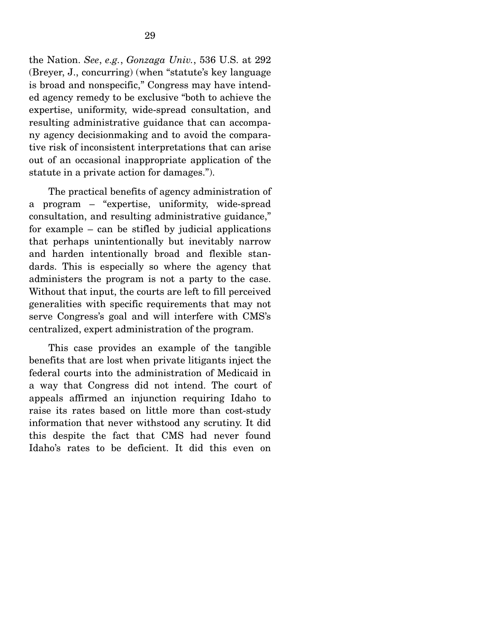the Nation. *See*, *e.g.*, *Gonzaga Univ.*, 536 U.S. at 292 (Breyer, J., concurring) (when "statute's key language is broad and nonspecific," Congress may have intended agency remedy to be exclusive "both to achieve the expertise, uniformity, wide-spread consultation, and resulting administrative guidance that can accompany agency decisionmaking and to avoid the comparative risk of inconsistent interpretations that can arise out of an occasional inappropriate application of the statute in a private action for damages.").

 The practical benefits of agency administration of a program – "expertise, uniformity, wide-spread consultation, and resulting administrative guidance," for example – can be stifled by judicial applications that perhaps unintentionally but inevitably narrow and harden intentionally broad and flexible standards. This is especially so where the agency that administers the program is not a party to the case. Without that input, the courts are left to fill perceived generalities with specific requirements that may not serve Congress's goal and will interfere with CMS's centralized, expert administration of the program.

 This case provides an example of the tangible benefits that are lost when private litigants inject the federal courts into the administration of Medicaid in a way that Congress did not intend. The court of appeals affirmed an injunction requiring Idaho to raise its rates based on little more than cost-study information that never withstood any scrutiny. It did this despite the fact that CMS had never found Idaho's rates to be deficient. It did this even on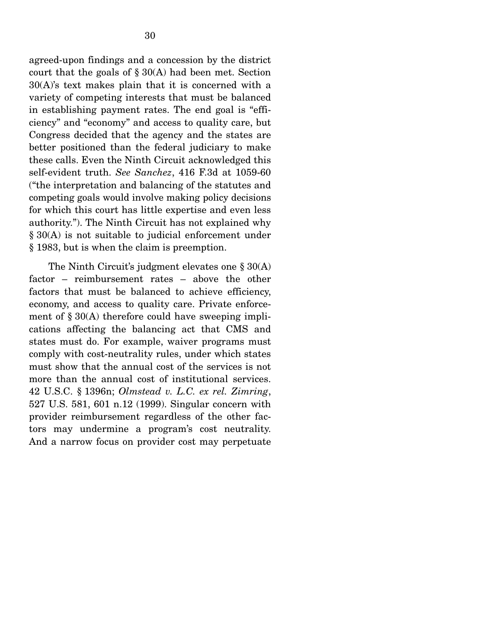agreed-upon findings and a concession by the district court that the goals of  $\S 30(A)$  had been met. Section 30(A)'s text makes plain that it is concerned with a variety of competing interests that must be balanced in establishing payment rates. The end goal is "efficiency" and "economy" and access to quality care, but Congress decided that the agency and the states are better positioned than the federal judiciary to make these calls. Even the Ninth Circuit acknowledged this self-evident truth. *See Sanchez*, 416 F.3d at 1059-60 ("the interpretation and balancing of the statutes and competing goals would involve making policy decisions for which this court has little expertise and even less authority."). The Ninth Circuit has not explained why § 30(A) is not suitable to judicial enforcement under § 1983, but is when the claim is preemption.

The Ninth Circuit's judgment elevates one § 30(A) factor – reimbursement rates – above the other factors that must be balanced to achieve efficiency, economy, and access to quality care. Private enforcement of § 30(A) therefore could have sweeping implications affecting the balancing act that CMS and states must do. For example, waiver programs must comply with cost-neutrality rules, under which states must show that the annual cost of the services is not more than the annual cost of institutional services. 42 U.S.C. § 1396n; *Olmstead v. L.C. ex rel. Zimring*, 527 U.S. 581, 601 n.12 (1999). Singular concern with provider reimbursement regardless of the other factors may undermine a program's cost neutrality. And a narrow focus on provider cost may perpetuate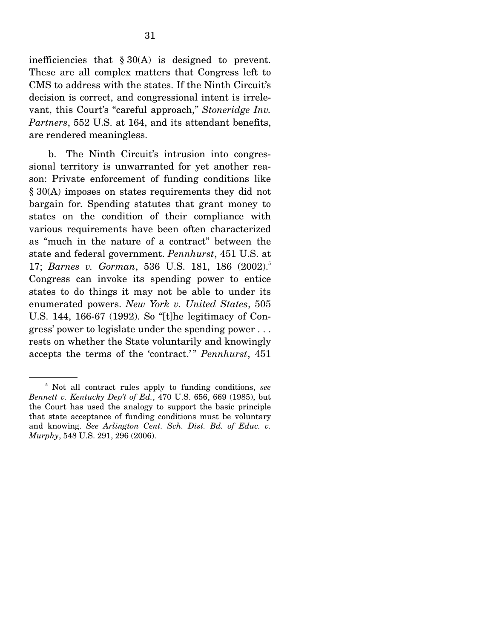inefficiencies that  $\S 30(A)$  is designed to prevent. These are all complex matters that Congress left to CMS to address with the states. If the Ninth Circuit's decision is correct, and congressional intent is irrelevant, this Court's "careful approach," *Stoneridge Inv. Partners*, 552 U.S. at 164, and its attendant benefits, are rendered meaningless.

 b. The Ninth Circuit's intrusion into congressional territory is unwarranted for yet another reason: Private enforcement of funding conditions like § 30(A) imposes on states requirements they did not bargain for. Spending statutes that grant money to states on the condition of their compliance with various requirements have been often characterized as "much in the nature of a contract" between the state and federal government. *Pennhurst*, 451 U.S. at 17; *Barnes v. Gorman*, 536 U.S. 181, 186 (2002).5 Congress can invoke its spending power to entice states to do things it may not be able to under its enumerated powers. *New York v. United States*, 505 U.S. 144, 166-67 (1992). So "[t]he legitimacy of Congress' power to legislate under the spending power . . . rests on whether the State voluntarily and knowingly accepts the terms of the 'contract.'" *Pennhurst*, 451

<sup>5</sup> Not all contract rules apply to funding conditions, *see Bennett v. Kentucky Dep't of Ed.*, 470 U.S. 656, 669 (1985), but the Court has used the analogy to support the basic principle that state acceptance of funding conditions must be voluntary and knowing. *See Arlington Cent. Sch. Dist. Bd. of Educ. v. Murphy*, 548 U.S. 291, 296 (2006).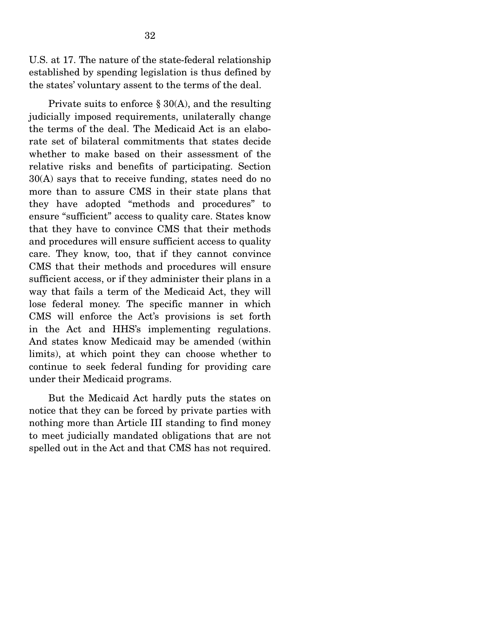U.S. at 17. The nature of the state-federal relationship established by spending legislation is thus defined by the states' voluntary assent to the terms of the deal.

Private suits to enforce  $\S 30(A)$ , and the resulting judicially imposed requirements, unilaterally change the terms of the deal. The Medicaid Act is an elaborate set of bilateral commitments that states decide whether to make based on their assessment of the relative risks and benefits of participating. Section 30(A) says that to receive funding, states need do no more than to assure CMS in their state plans that they have adopted "methods and procedures" to ensure "sufficient" access to quality care. States know that they have to convince CMS that their methods and procedures will ensure sufficient access to quality care. They know, too, that if they cannot convince CMS that their methods and procedures will ensure sufficient access, or if they administer their plans in a way that fails a term of the Medicaid Act, they will lose federal money. The specific manner in which CMS will enforce the Act's provisions is set forth in the Act and HHS's implementing regulations. And states know Medicaid may be amended (within limits), at which point they can choose whether to continue to seek federal funding for providing care under their Medicaid programs.

 But the Medicaid Act hardly puts the states on notice that they can be forced by private parties with nothing more than Article III standing to find money to meet judicially mandated obligations that are not spelled out in the Act and that CMS has not required.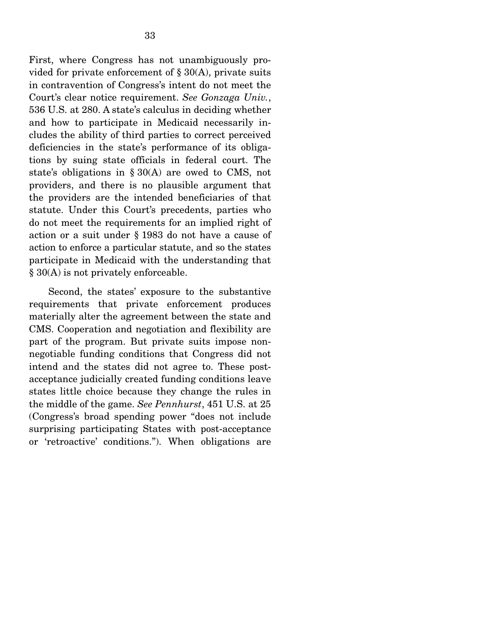First, where Congress has not unambiguously provided for private enforcement of  $\S 30(A)$ , private suits in contravention of Congress's intent do not meet the Court's clear notice requirement. *See Gonzaga Univ.*, 536 U.S. at 280. A state's calculus in deciding whether and how to participate in Medicaid necessarily includes the ability of third parties to correct perceived deficiencies in the state's performance of its obligations by suing state officials in federal court. The state's obligations in § 30(A) are owed to CMS, not providers, and there is no plausible argument that the providers are the intended beneficiaries of that statute. Under this Court's precedents, parties who do not meet the requirements for an implied right of action or a suit under § 1983 do not have a cause of action to enforce a particular statute, and so the states participate in Medicaid with the understanding that § 30(A) is not privately enforceable.

 Second, the states' exposure to the substantive requirements that private enforcement produces materially alter the agreement between the state and CMS. Cooperation and negotiation and flexibility are part of the program. But private suits impose nonnegotiable funding conditions that Congress did not intend and the states did not agree to. These postacceptance judicially created funding conditions leave states little choice because they change the rules in the middle of the game. *See Pennhurst*, 451 U.S. at 25 (Congress's broad spending power "does not include surprising participating States with post-acceptance or 'retroactive' conditions."). When obligations are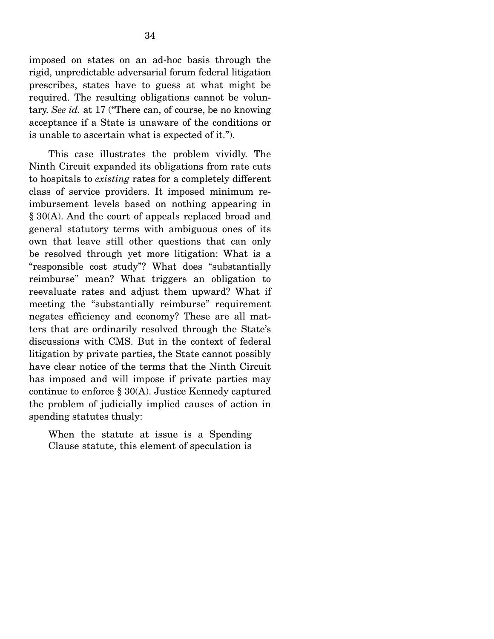imposed on states on an ad-hoc basis through the rigid, unpredictable adversarial forum federal litigation prescribes, states have to guess at what might be required. The resulting obligations cannot be voluntary. *See id.* at 17 ("There can, of course, be no knowing acceptance if a State is unaware of the conditions or is unable to ascertain what is expected of it.").

 This case illustrates the problem vividly. The Ninth Circuit expanded its obligations from rate cuts to hospitals to *existing* rates for a completely different class of service providers. It imposed minimum reimbursement levels based on nothing appearing in § 30(A). And the court of appeals replaced broad and general statutory terms with ambiguous ones of its own that leave still other questions that can only be resolved through yet more litigation: What is a "responsible cost study"? What does "substantially reimburse" mean? What triggers an obligation to reevaluate rates and adjust them upward? What if meeting the "substantially reimburse" requirement negates efficiency and economy? These are all matters that are ordinarily resolved through the State's discussions with CMS. But in the context of federal litigation by private parties, the State cannot possibly have clear notice of the terms that the Ninth Circuit has imposed and will impose if private parties may continue to enforce § 30(A). Justice Kennedy captured the problem of judicially implied causes of action in spending statutes thusly:

When the statute at issue is a Spending Clause statute, this element of speculation is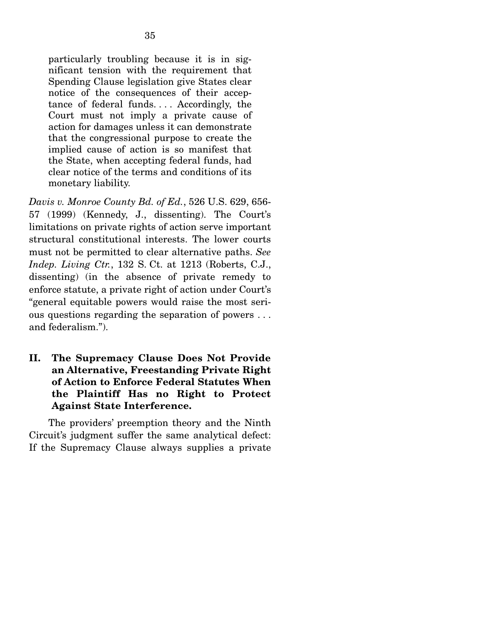particularly troubling because it is in significant tension with the requirement that Spending Clause legislation give States clear notice of the consequences of their acceptance of federal funds. . . . Accordingly, the Court must not imply a private cause of action for damages unless it can demonstrate that the congressional purpose to create the implied cause of action is so manifest that the State, when accepting federal funds, had clear notice of the terms and conditions of its monetary liability.

*Davis v. Monroe County Bd. of Ed.*, 526 U.S. 629, 656- 57 (1999) (Kennedy, J., dissenting). The Court's limitations on private rights of action serve important structural constitutional interests. The lower courts must not be permitted to clear alternative paths. *See Indep. Living Ctr.*, 132 S. Ct. at 1213 (Roberts, C.J., dissenting) (in the absence of private remedy to enforce statute, a private right of action under Court's "general equitable powers would raise the most serious questions regarding the separation of powers . . . and federalism.").

### **II. The Supremacy Clause Does Not Provide an Alternative, Freestanding Private Right of Action to Enforce Federal Statutes When the Plaintiff Has no Right to Protect Against State Interference.**

 The providers' preemption theory and the Ninth Circuit's judgment suffer the same analytical defect: If the Supremacy Clause always supplies a private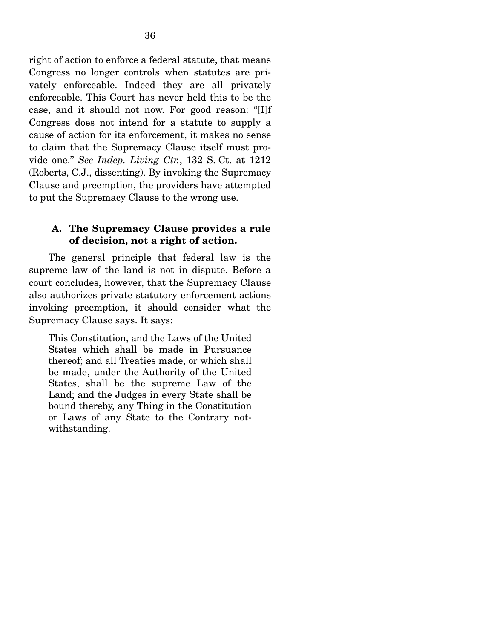right of action to enforce a federal statute, that means Congress no longer controls when statutes are privately enforceable. Indeed they are all privately enforceable. This Court has never held this to be the case, and it should not now. For good reason: "[I]f Congress does not intend for a statute to supply a cause of action for its enforcement, it makes no sense to claim that the Supremacy Clause itself must provide one." *See Indep. Living Ctr.*, 132 S. Ct. at 1212 (Roberts, C.J., dissenting). By invoking the Supremacy Clause and preemption, the providers have attempted to put the Supremacy Clause to the wrong use.

#### **A. The Supremacy Clause provides a rule of decision, not a right of action.**

 The general principle that federal law is the supreme law of the land is not in dispute. Before a court concludes, however, that the Supremacy Clause also authorizes private statutory enforcement actions invoking preemption, it should consider what the Supremacy Clause says. It says:

This Constitution, and the Laws of the United States which shall be made in Pursuance thereof; and all Treaties made, or which shall be made, under the Authority of the United States, shall be the supreme Law of the Land; and the Judges in every State shall be bound thereby, any Thing in the Constitution or Laws of any State to the Contrary notwithstanding.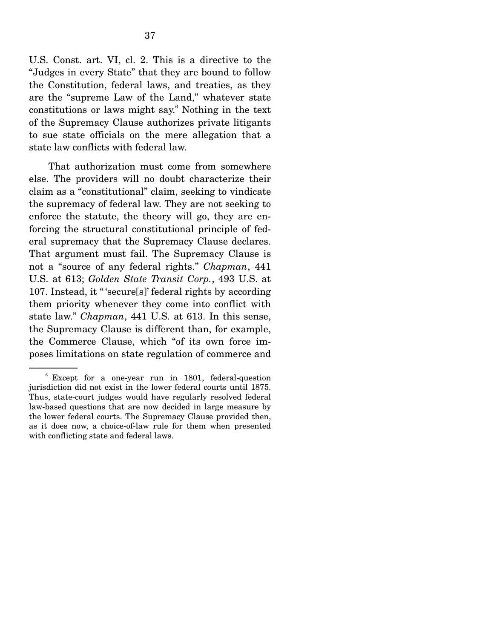U.S. Const. art. VI, cl. 2. This is a directive to the "Judges in every State" that they are bound to follow the Constitution, federal laws, and treaties, as they are the "supreme Law of the Land," whatever state constitutions or laws might say.<sup>6</sup> Nothing in the text of the Supremacy Clause authorizes private litigants to sue state officials on the mere allegation that a state law conflicts with federal law.

 That authorization must come from somewhere else. The providers will no doubt characterize their claim as a "constitutional" claim, seeking to vindicate the supremacy of federal law. They are not seeking to enforce the statute, the theory will go, they are enforcing the structural constitutional principle of federal supremacy that the Supremacy Clause declares. That argument must fail. The Supremacy Clause is not a "source of any federal rights." *Chapman*, 441 U.S. at 613; *Golden State Transit Corp.*, 493 U.S. at 107. Instead, it " 'secure[s]' federal rights by according them priority whenever they come into conflict with state law." *Chapman*, 441 U.S. at 613. In this sense, the Supremacy Clause is different than, for example, the Commerce Clause, which "of its own force imposes limitations on state regulation of commerce and

<sup>6</sup> Except for a one-year run in 1801, federal-question jurisdiction did not exist in the lower federal courts until 1875. Thus, state-court judges would have regularly resolved federal law-based questions that are now decided in large measure by the lower federal courts. The Supremacy Clause provided then, as it does now, a choice-of-law rule for them when presented with conflicting state and federal laws.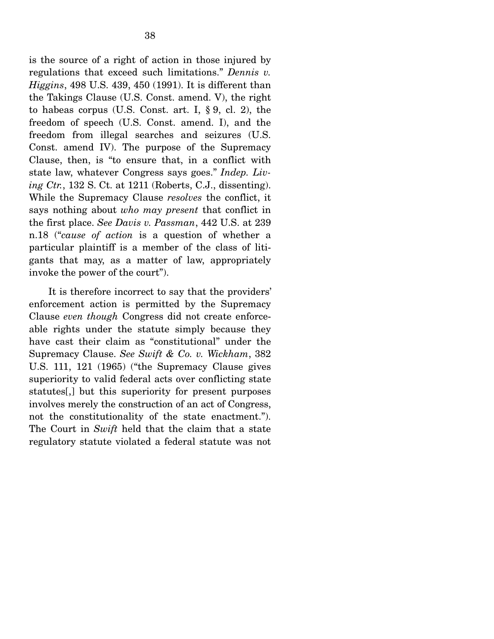is the source of a right of action in those injured by regulations that exceed such limitations." *Dennis v. Higgins*, 498 U.S. 439, 450 (1991). It is different than the Takings Clause (U.S. Const. amend. V), the right to habeas corpus (U.S. Const. art. I, § 9, cl. 2), the freedom of speech (U.S. Const. amend. I), and the freedom from illegal searches and seizures (U.S. Const. amend IV). The purpose of the Supremacy Clause, then, is "to ensure that, in a conflict with state law, whatever Congress says goes." *Indep. Living Ctr.*, 132 S. Ct. at 1211 (Roberts, C.J., dissenting). While the Supremacy Clause *resolves* the conflict, it says nothing about *who may present* that conflict in the first place. *See Davis v. Passman*, 442 U.S. at 239 n.18 ("*cause of action* is a question of whether a particular plaintiff is a member of the class of litigants that may, as a matter of law, appropriately invoke the power of the court").

 It is therefore incorrect to say that the providers' enforcement action is permitted by the Supremacy Clause *even though* Congress did not create enforceable rights under the statute simply because they have cast their claim as "constitutional" under the Supremacy Clause. *See Swift & Co. v. Wickham*, 382 U.S. 111, 121 (1965) ("the Supremacy Clause gives superiority to valid federal acts over conflicting state statutes[,] but this superiority for present purposes involves merely the construction of an act of Congress, not the constitutionality of the state enactment."). The Court in *Swift* held that the claim that a state regulatory statute violated a federal statute was not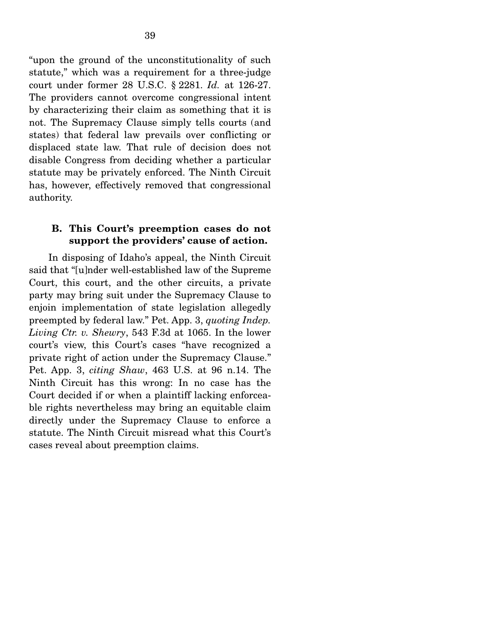"upon the ground of the unconstitutionality of such statute," which was a requirement for a three-judge court under former 28 U.S.C. § 2281. *Id.* at 126-27. The providers cannot overcome congressional intent by characterizing their claim as something that it is not. The Supremacy Clause simply tells courts (and states) that federal law prevails over conflicting or displaced state law. That rule of decision does not disable Congress from deciding whether a particular statute may be privately enforced. The Ninth Circuit has, however, effectively removed that congressional authority.

#### **B. This Court's preemption cases do not support the providers' cause of action.**

 In disposing of Idaho's appeal, the Ninth Circuit said that "[u]nder well-established law of the Supreme Court, this court, and the other circuits, a private party may bring suit under the Supremacy Clause to enjoin implementation of state legislation allegedly preempted by federal law." Pet. App. 3, *quoting Indep. Living Ctr. v. Shewry*, 543 F.3d at 1065. In the lower court's view, this Court's cases "have recognized a private right of action under the Supremacy Clause." Pet. App. 3, *citing Shaw*, 463 U.S. at 96 n.14. The Ninth Circuit has this wrong: In no case has the Court decided if or when a plaintiff lacking enforceable rights nevertheless may bring an equitable claim directly under the Supremacy Clause to enforce a statute. The Ninth Circuit misread what this Court's cases reveal about preemption claims.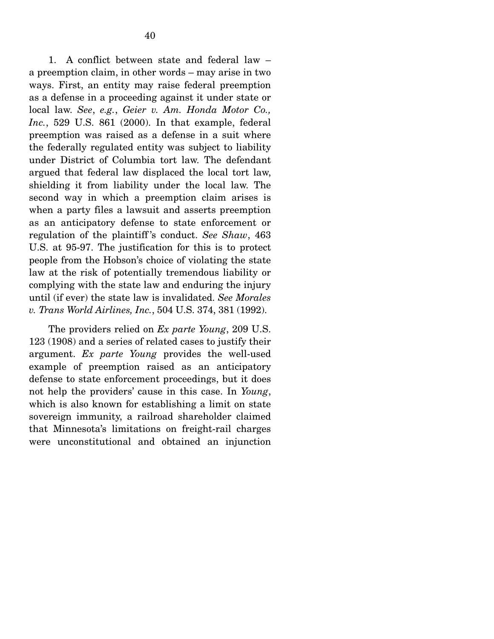1. A conflict between state and federal law – a preemption claim, in other words – may arise in two ways. First, an entity may raise federal preemption as a defense in a proceeding against it under state or local law. *See*, *e.g.*, *Geier v. Am. Honda Motor Co., Inc.*, 529 U.S. 861 (2000). In that example, federal preemption was raised as a defense in a suit where the federally regulated entity was subject to liability under District of Columbia tort law. The defendant argued that federal law displaced the local tort law, shielding it from liability under the local law. The second way in which a preemption claim arises is when a party files a lawsuit and asserts preemption as an anticipatory defense to state enforcement or regulation of the plaintiff 's conduct. *See Shaw*, 463 U.S. at 95-97. The justification for this is to protect people from the Hobson's choice of violating the state law at the risk of potentially tremendous liability or complying with the state law and enduring the injury until (if ever) the state law is invalidated. *See Morales v. Trans World Airlines, Inc.*, 504 U.S. 374, 381 (1992).

 The providers relied on *Ex parte Young*, 209 U.S. 123 (1908) and a series of related cases to justify their argument. *Ex parte Young* provides the well-used example of preemption raised as an anticipatory defense to state enforcement proceedings, but it does not help the providers' cause in this case. In *Young*, which is also known for establishing a limit on state sovereign immunity, a railroad shareholder claimed that Minnesota's limitations on freight-rail charges were unconstitutional and obtained an injunction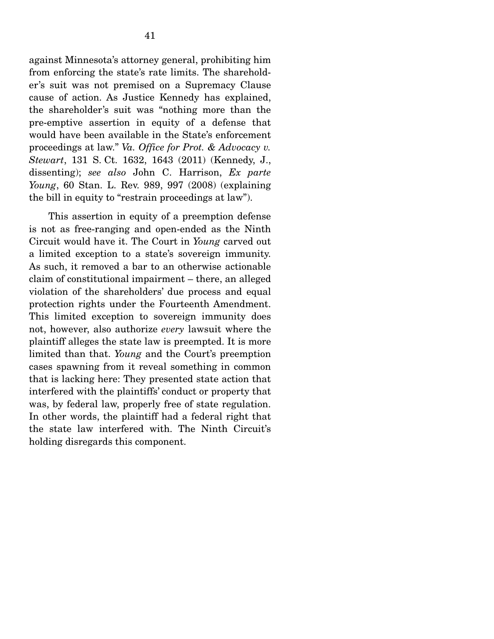against Minnesota's attorney general, prohibiting him from enforcing the state's rate limits. The shareholder's suit was not premised on a Supremacy Clause cause of action. As Justice Kennedy has explained, the shareholder's suit was "nothing more than the pre-emptive assertion in equity of a defense that would have been available in the State's enforcement proceedings at law." *Va. Office for Prot. & Advocacy v. Stewart*, 131 S. Ct. 1632, 1643 (2011) (Kennedy, J., dissenting); *see also* John C. Harrison, *Ex parte Young*, 60 Stan. L. Rev. 989, 997 (2008) (explaining the bill in equity to "restrain proceedings at law").

 This assertion in equity of a preemption defense is not as free-ranging and open-ended as the Ninth Circuit would have it. The Court in *Young* carved out a limited exception to a state's sovereign immunity. As such, it removed a bar to an otherwise actionable claim of constitutional impairment – there, an alleged violation of the shareholders' due process and equal protection rights under the Fourteenth Amendment. This limited exception to sovereign immunity does not, however, also authorize *every* lawsuit where the plaintiff alleges the state law is preempted. It is more limited than that. *Young* and the Court's preemption cases spawning from it reveal something in common that is lacking here: They presented state action that interfered with the plaintiffs' conduct or property that was, by federal law, properly free of state regulation. In other words, the plaintiff had a federal right that the state law interfered with. The Ninth Circuit's holding disregards this component.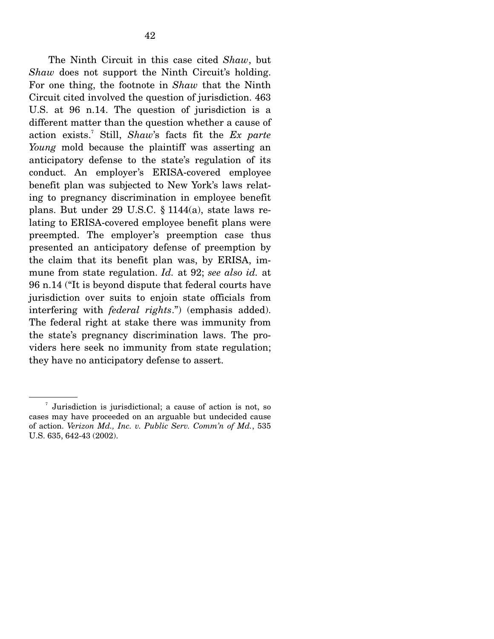The Ninth Circuit in this case cited *Shaw*, but *Shaw* does not support the Ninth Circuit's holding. For one thing, the footnote in *Shaw* that the Ninth Circuit cited involved the question of jurisdiction. 463 U.S. at 96 n.14. The question of jurisdiction is a different matter than the question whether a cause of action exists.7 Still, *Shaw*'s facts fit the *Ex parte Young* mold because the plaintiff was asserting an anticipatory defense to the state's regulation of its conduct. An employer's ERISA-covered employee benefit plan was subjected to New York's laws relating to pregnancy discrimination in employee benefit plans. But under 29 U.S.C. § 1144(a), state laws relating to ERISA-covered employee benefit plans were preempted. The employer's preemption case thus presented an anticipatory defense of preemption by the claim that its benefit plan was, by ERISA, immune from state regulation. *Id.* at 92; *see also id.* at 96 n.14 ("It is beyond dispute that federal courts have jurisdiction over suits to enjoin state officials from interfering with *federal rights*.") (emphasis added). The federal right at stake there was immunity from the state's pregnancy discrimination laws. The providers here seek no immunity from state regulation; they have no anticipatory defense to assert.

<sup>7</sup> Jurisdiction is jurisdictional; a cause of action is not, so cases may have proceeded on an arguable but undecided cause of action. *Verizon Md., Inc. v. Public Serv. Comm'n of Md.*, 535 U.S. 635, 642-43 (2002).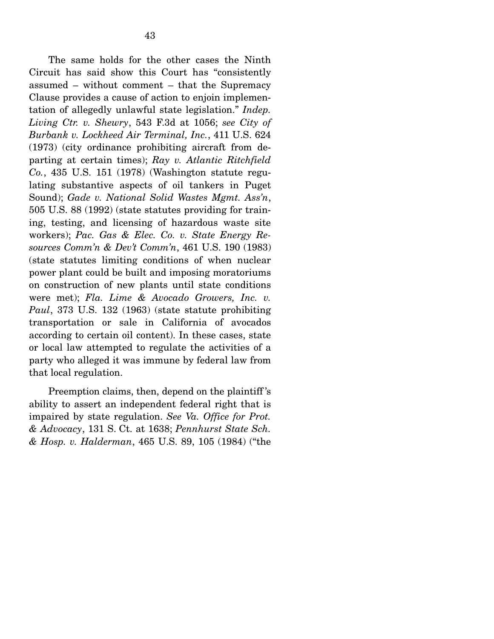The same holds for the other cases the Ninth Circuit has said show this Court has "consistently assumed – without comment – that the Supremacy Clause provides a cause of action to enjoin implementation of allegedly unlawful state legislation." *Indep. Living Ctr. v. Shewry*, 543 F.3d at 1056; *see City of Burbank v. Lockheed Air Terminal, Inc.*, 411 U.S. 624 (1973) (city ordinance prohibiting aircraft from departing at certain times); *Ray v. Atlantic Ritchfield Co.*, 435 U.S. 151 (1978) (Washington statute regulating substantive aspects of oil tankers in Puget Sound); *Gade v. National Solid Wastes Mgmt. Ass'n*, 505 U.S. 88 (1992) (state statutes providing for training, testing, and licensing of hazardous waste site workers); *Pac. Gas & Elec. Co. v. State Energy Resources Comm'n & Dev't Comm'n*, 461 U.S. 190 (1983) (state statutes limiting conditions of when nuclear power plant could be built and imposing moratoriums on construction of new plants until state conditions were met); *Fla. Lime & Avocado Growers, Inc. v. Paul*, 373 U.S. 132 (1963) (state statute prohibiting transportation or sale in California of avocados according to certain oil content). In these cases, state or local law attempted to regulate the activities of a party who alleged it was immune by federal law from that local regulation.

 Preemption claims, then, depend on the plaintiff 's ability to assert an independent federal right that is impaired by state regulation. *See Va. Office for Prot. & Advocacy*, 131 S. Ct. at 1638; *Pennhurst State Sch. & Hosp. v. Halderman*, 465 U.S. 89, 105 (1984) ("the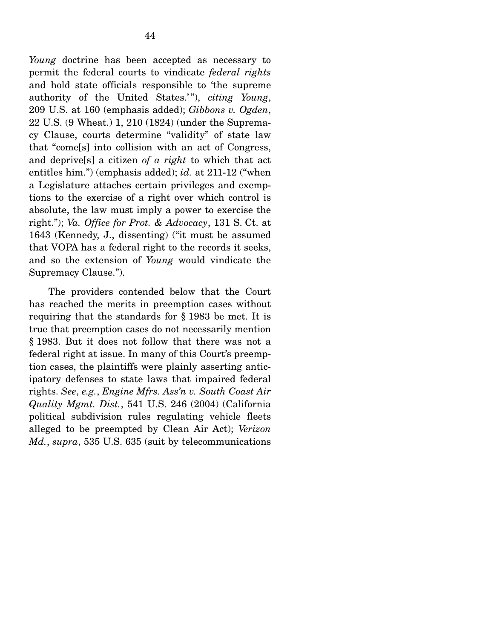*Young* doctrine has been accepted as necessary to permit the federal courts to vindicate *federal rights*  and hold state officials responsible to 'the supreme authority of the United States.' "), *citing Young*, 209 U.S. at 160 (emphasis added); *Gibbons v. Ogden*, 22 U.S. (9 Wheat.) 1, 210 (1824) (under the Supremacy Clause, courts determine "validity" of state law that "come[s] into collision with an act of Congress, and deprive[s] a citizen *of a right* to which that act entitles him.") (emphasis added); *id.* at 211-12 ("when a Legislature attaches certain privileges and exemptions to the exercise of a right over which control is absolute, the law must imply a power to exercise the right."); *Va. Office for Prot. & Advocacy*, 131 S. Ct. at 1643 (Kennedy, J., dissenting) ("it must be assumed that VOPA has a federal right to the records it seeks, and so the extension of *Young* would vindicate the Supremacy Clause.").

 The providers contended below that the Court has reached the merits in preemption cases without requiring that the standards for § 1983 be met. It is true that preemption cases do not necessarily mention § 1983. But it does not follow that there was not a federal right at issue. In many of this Court's preemption cases, the plaintiffs were plainly asserting anticipatory defenses to state laws that impaired federal rights. *See*, *e.g.*, *Engine Mfrs. Ass'n v. South Coast Air Quality Mgmt. Dist.*, 541 U.S. 246 (2004) (California political subdivision rules regulating vehicle fleets alleged to be preempted by Clean Air Act); *Verizon Md.*, *supra*, 535 U.S. 635 (suit by telecommunications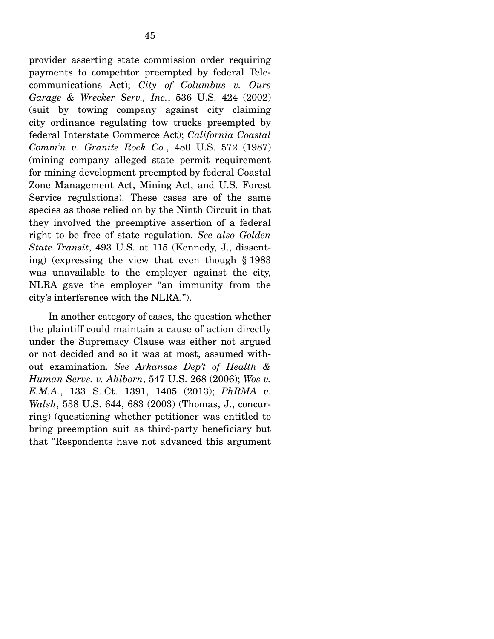provider asserting state commission order requiring payments to competitor preempted by federal Telecommunications Act); *City of Columbus v. Ours Garage & Wrecker Serv., Inc.*, 536 U.S. 424 (2002) (suit by towing company against city claiming city ordinance regulating tow trucks preempted by federal Interstate Commerce Act); *California Coastal Comm'n v. Granite Rock Co.*, 480 U.S. 572 (1987) (mining company alleged state permit requirement for mining development preempted by federal Coastal Zone Management Act, Mining Act, and U.S. Forest Service regulations). These cases are of the same species as those relied on by the Ninth Circuit in that they involved the preemptive assertion of a federal right to be free of state regulation. *See also Golden State Transit*, 493 U.S. at 115 (Kennedy, J., dissenting) (expressing the view that even though § 1983 was unavailable to the employer against the city, NLRA gave the employer "an immunity from the city's interference with the NLRA.").

 In another category of cases, the question whether the plaintiff could maintain a cause of action directly under the Supremacy Clause was either not argued or not decided and so it was at most, assumed without examination. *See Arkansas Dep't of Health & Human Servs. v. Ahlborn*, 547 U.S. 268 (2006); *Wos v. E.M.A.*, 133 S. Ct. 1391, 1405 (2013); *PhRMA v. Walsh*, 538 U.S. 644, 683 (2003) (Thomas, J., concurring) (questioning whether petitioner was entitled to bring preemption suit as third-party beneficiary but that "Respondents have not advanced this argument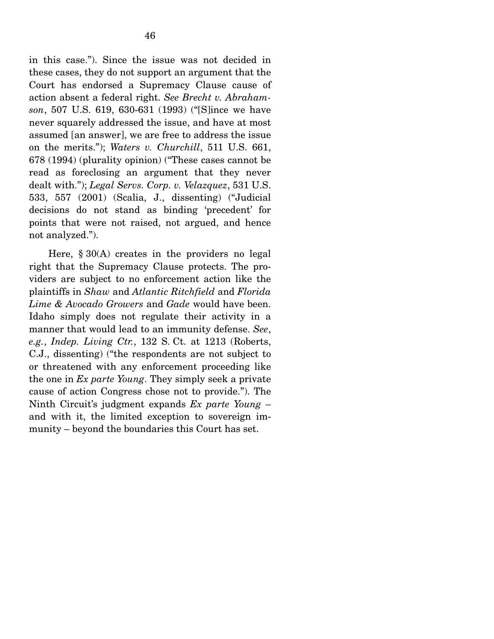in this case."). Since the issue was not decided in these cases, they do not support an argument that the Court has endorsed a Supremacy Clause cause of action absent a federal right. *See Brecht v. Abrahamson*, 507 U.S. 619, 630-631 (1993) ("[S]ince we have never squarely addressed the issue, and have at most assumed [an answer], we are free to address the issue on the merits."); *Waters v. Churchill*, 511 U.S. 661, 678 (1994) (plurality opinion) ("These cases cannot be read as foreclosing an argument that they never dealt with."); *Legal Servs. Corp. v. Velazquez*, 531 U.S. 533, 557 (2001) (Scalia, J., dissenting) ("Judicial decisions do not stand as binding 'precedent' for points that were not raised, not argued, and hence not analyzed.").

 Here, § 30(A) creates in the providers no legal right that the Supremacy Clause protects. The providers are subject to no enforcement action like the plaintiffs in *Shaw* and *Atlantic Ritchfield* and *Florida Lime & Avocado Growers* and *Gade* would have been. Idaho simply does not regulate their activity in a manner that would lead to an immunity defense. *See*, *e.g.*, *Indep. Living Ctr.*, 132 S. Ct. at 1213 (Roberts, C.J., dissenting) ("the respondents are not subject to or threatened with any enforcement proceeding like the one in *Ex parte Young*. They simply seek a private cause of action Congress chose not to provide."). The Ninth Circuit's judgment expands *Ex parte Young* – and with it, the limited exception to sovereign immunity – beyond the boundaries this Court has set.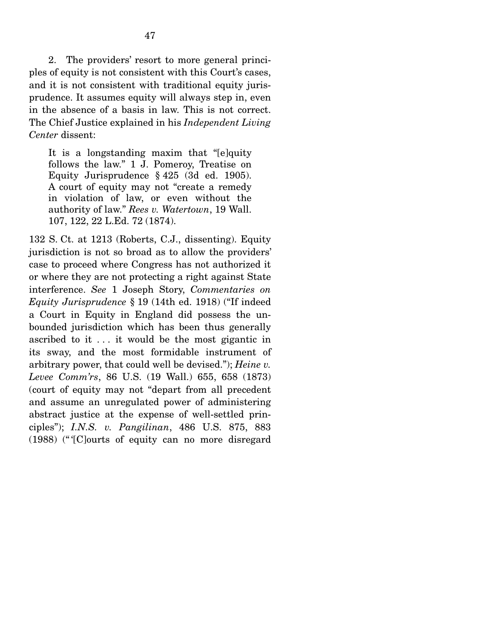2. The providers' resort to more general principles of equity is not consistent with this Court's cases, and it is not consistent with traditional equity jurisprudence. It assumes equity will always step in, even in the absence of a basis in law. This is not correct. The Chief Justice explained in his *Independent Living Center* dissent:

It is a longstanding maxim that "[e]quity follows the law." 1 J. Pomeroy, Treatise on Equity Jurisprudence § 425 (3d ed. 1905). A court of equity may not "create a remedy in violation of law, or even without the authority of law." *Rees v. Watertown*, 19 Wall. 107, 122, 22 L.Ed. 72 (1874).

132 S. Ct. at 1213 (Roberts, C.J., dissenting). Equity jurisdiction is not so broad as to allow the providers' case to proceed where Congress has not authorized it or where they are not protecting a right against State interference. *See* 1 Joseph Story, *Commentaries on Equity Jurisprudence* § 19 (14th ed. 1918) ("If indeed a Court in Equity in England did possess the unbounded jurisdiction which has been thus generally ascribed to it . . . it would be the most gigantic in its sway, and the most formidable instrument of arbitrary power, that could well be devised."); *Heine v. Levee Comm'rs*, 86 U.S. (19 Wall.) 655, 658 (1873) (court of equity may not "depart from all precedent and assume an unregulated power of administering abstract justice at the expense of well-settled principles"); *I.N.S. v. Pangilinan*, 486 U.S. 875, 883 (1988) (" '[C]ourts of equity can no more disregard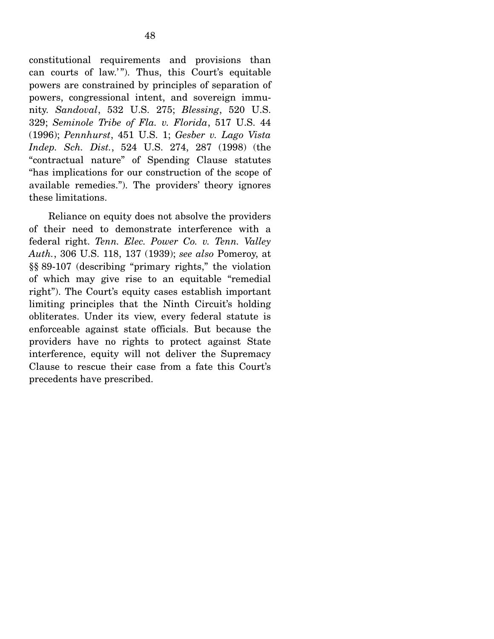constitutional requirements and provisions than can courts of law."). Thus, this Court's equitable powers are constrained by principles of separation of powers, congressional intent, and sovereign immunity. *Sandoval*, 532 U.S. 275; *Blessing*, 520 U.S. 329; *Seminole Tribe of Fla. v. Florida*, 517 U.S. 44 (1996); *Pennhurst*, 451 U.S. 1; *Gesber v. Lago Vista Indep. Sch. Dist.*, 524 U.S. 274, 287 (1998) (the "contractual nature" of Spending Clause statutes "has implications for our construction of the scope of available remedies."). The providers' theory ignores these limitations.

 Reliance on equity does not absolve the providers of their need to demonstrate interference with a federal right. *Tenn. Elec. Power Co. v. Tenn. Valley Auth.*, 306 U.S. 118, 137 (1939); *see also* Pomeroy, at §§ 89-107 (describing "primary rights," the violation of which may give rise to an equitable "remedial right"). The Court's equity cases establish important limiting principles that the Ninth Circuit's holding obliterates. Under its view, every federal statute is enforceable against state officials. But because the providers have no rights to protect against State interference, equity will not deliver the Supremacy Clause to rescue their case from a fate this Court's precedents have prescribed.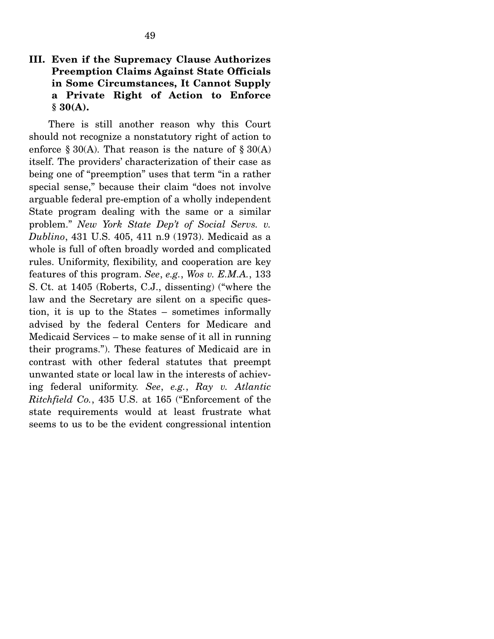### **III. Even if the Supremacy Clause Authorizes Preemption Claims Against State Officials in Some Circumstances, It Cannot Supply a Private Right of Action to Enforce § 30(A).**

 There is still another reason why this Court should not recognize a nonstatutory right of action to enforce  $\S 30(A)$ . That reason is the nature of  $\S 30(A)$ itself. The providers' characterization of their case as being one of "preemption" uses that term "in a rather special sense," because their claim "does not involve arguable federal pre-emption of a wholly independent State program dealing with the same or a similar problem." *New York State Dep't of Social Servs. v. Dublino*, 431 U.S. 405, 411 n.9 (1973). Medicaid as a whole is full of often broadly worded and complicated rules. Uniformity, flexibility, and cooperation are key features of this program. *See*, *e.g.*, *Wos v. E.M.A.*, 133 S. Ct. at 1405 (Roberts, C.J., dissenting) ("where the law and the Secretary are silent on a specific question, it is up to the States – sometimes informally advised by the federal Centers for Medicare and Medicaid Services – to make sense of it all in running their programs."). These features of Medicaid are in contrast with other federal statutes that preempt unwanted state or local law in the interests of achieving federal uniformity. *See*, *e.g.*, *Ray v. Atlantic Ritchfield Co.*, 435 U.S. at 165 ("Enforcement of the state requirements would at least frustrate what seems to us to be the evident congressional intention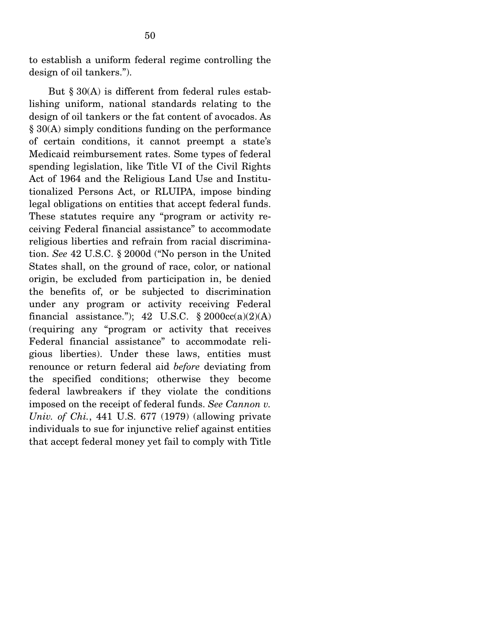to establish a uniform federal regime controlling the design of oil tankers.").

But  $\S 30(A)$  is different from federal rules establishing uniform, national standards relating to the design of oil tankers or the fat content of avocados. As § 30(A) simply conditions funding on the performance of certain conditions, it cannot preempt a state's Medicaid reimbursement rates. Some types of federal spending legislation, like Title VI of the Civil Rights Act of 1964 and the Religious Land Use and Institutionalized Persons Act, or RLUIPA, impose binding legal obligations on entities that accept federal funds. These statutes require any "program or activity receiving Federal financial assistance" to accommodate religious liberties and refrain from racial discrimination. *See* 42 U.S.C. § 2000d ("No person in the United States shall, on the ground of race, color, or national origin, be excluded from participation in, be denied the benefits of, or be subjected to discrimination under any program or activity receiving Federal financial assistance."); 42 U.S.C.  $\S 2000cc(a)(2)(A)$ (requiring any "program or activity that receives Federal financial assistance" to accommodate religious liberties). Under these laws, entities must renounce or return federal aid *before* deviating from the specified conditions; otherwise they become federal lawbreakers if they violate the conditions imposed on the receipt of federal funds. *See Cannon v. Univ. of Chi.*, 441 U.S. 677 (1979) (allowing private individuals to sue for injunctive relief against entities that accept federal money yet fail to comply with Title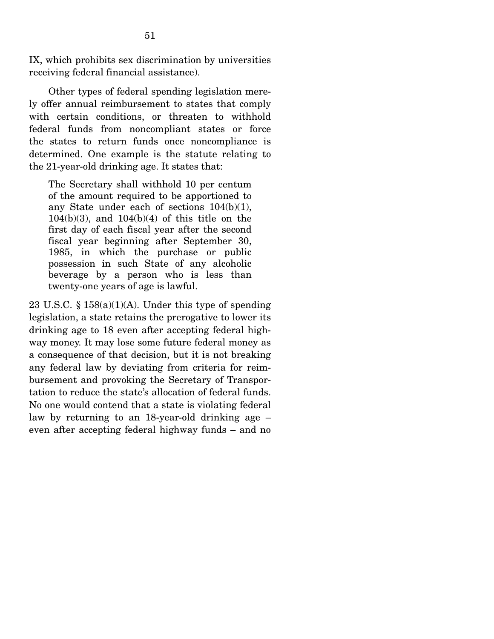IX, which prohibits sex discrimination by universities receiving federal financial assistance).

 Other types of federal spending legislation merely offer annual reimbursement to states that comply with certain conditions, or threaten to withhold federal funds from noncompliant states or force the states to return funds once noncompliance is determined. One example is the statute relating to the 21-year-old drinking age. It states that:

The Secretary shall withhold 10 per centum of the amount required to be apportioned to any State under each of sections 104(b)(1), 104(b)(3), and 104(b)(4) of this title on the first day of each fiscal year after the second fiscal year beginning after September 30, 1985, in which the purchase or public possession in such State of any alcoholic beverage by a person who is less than twenty-one years of age is lawful.

23 U.S.C.  $\S 158(a)(1)(A)$ . Under this type of spending legislation, a state retains the prerogative to lower its drinking age to 18 even after accepting federal highway money. It may lose some future federal money as a consequence of that decision, but it is not breaking any federal law by deviating from criteria for reimbursement and provoking the Secretary of Transportation to reduce the state's allocation of federal funds. No one would contend that a state is violating federal law by returning to an 18-year-old drinking age – even after accepting federal highway funds – and no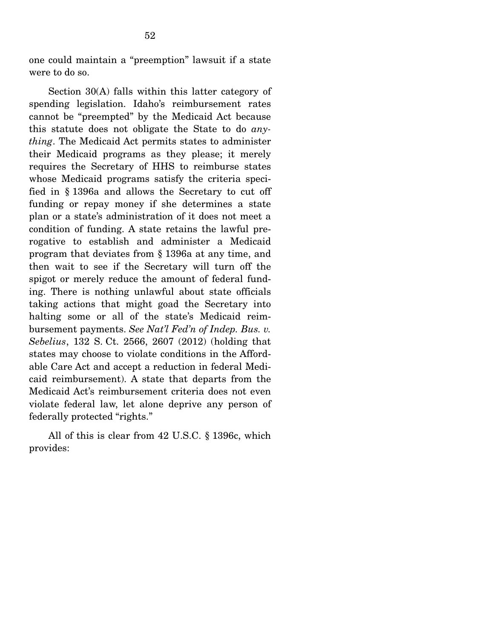one could maintain a "preemption" lawsuit if a state were to do so.

 Section 30(A) falls within this latter category of spending legislation. Idaho's reimbursement rates cannot be "preempted" by the Medicaid Act because this statute does not obligate the State to do *anything*. The Medicaid Act permits states to administer their Medicaid programs as they please; it merely requires the Secretary of HHS to reimburse states whose Medicaid programs satisfy the criteria specified in § 1396a and allows the Secretary to cut off funding or repay money if she determines a state plan or a state's administration of it does not meet a condition of funding. A state retains the lawful prerogative to establish and administer a Medicaid program that deviates from § 1396a at any time, and then wait to see if the Secretary will turn off the spigot or merely reduce the amount of federal funding. There is nothing unlawful about state officials taking actions that might goad the Secretary into halting some or all of the state's Medicaid reimbursement payments. *See Nat'l Fed'n of Indep. Bus. v. Sebelius*, 132 S. Ct. 2566, 2607 (2012) (holding that states may choose to violate conditions in the Affordable Care Act and accept a reduction in federal Medicaid reimbursement). A state that departs from the Medicaid Act's reimbursement criteria does not even violate federal law, let alone deprive any person of federally protected "rights."

 All of this is clear from 42 U.S.C. § 1396c, which provides: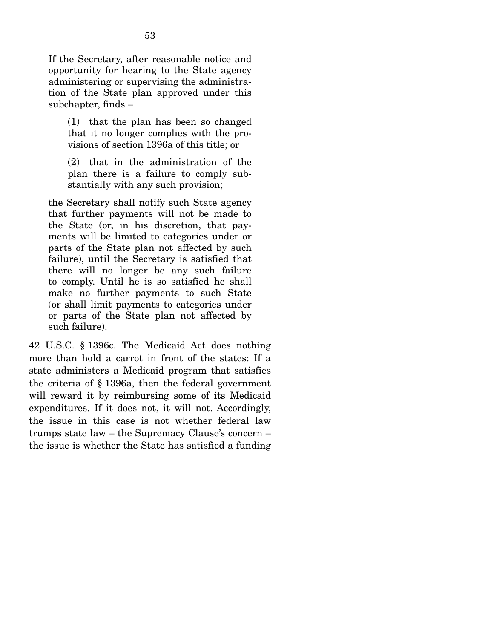If the Secretary, after reasonable notice and opportunity for hearing to the State agency administering or supervising the administration of the State plan approved under this subchapter, finds –

(1) that the plan has been so changed that it no longer complies with the provisions of section 1396a of this title; or

(2) that in the administration of the plan there is a failure to comply substantially with any such provision;

the Secretary shall notify such State agency that further payments will not be made to the State (or, in his discretion, that payments will be limited to categories under or parts of the State plan not affected by such failure), until the Secretary is satisfied that there will no longer be any such failure to comply. Until he is so satisfied he shall make no further payments to such State (or shall limit payments to categories under or parts of the State plan not affected by such failure).

42 U.S.C. § 1396c. The Medicaid Act does nothing more than hold a carrot in front of the states: If a state administers a Medicaid program that satisfies the criteria of § 1396a, then the federal government will reward it by reimbursing some of its Medicaid expenditures. If it does not, it will not. Accordingly, the issue in this case is not whether federal law trumps state law – the Supremacy Clause's concern – the issue is whether the State has satisfied a funding